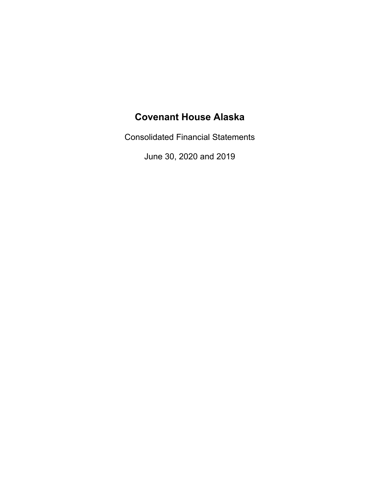Consolidated Financial Statements

June 30, 2020 and 2019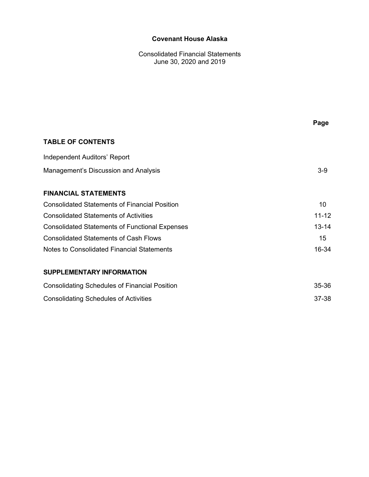Consolidated Financial Statements June 30, 2020 and 2019

|                                                       | Page             |
|-------------------------------------------------------|------------------|
| <b>TABLE OF CONTENTS</b>                              |                  |
| Independent Auditors' Report                          |                  |
| Management's Discussion and Analysis                  | $3-9$            |
| <b>FINANCIAL STATEMENTS</b>                           |                  |
| <b>Consolidated Statements of Financial Position</b>  | 10               |
| <b>Consolidated Statements of Activities</b>          | $11 - 12$        |
| <b>Consolidated Statements of Functional Expenses</b> | $13 - 14$        |
| <b>Consolidated Statements of Cash Flows</b>          | 15 <sup>15</sup> |
| Notes to Consolidated Financial Statements            | 16-34            |
| <b>SUPPLEMENTARY INFORMATION</b>                      |                  |
| <b>Consolidating Schedules of Financial Position</b>  | 35-36            |
| <b>Consolidating Schedules of Activities</b>          | 37-38            |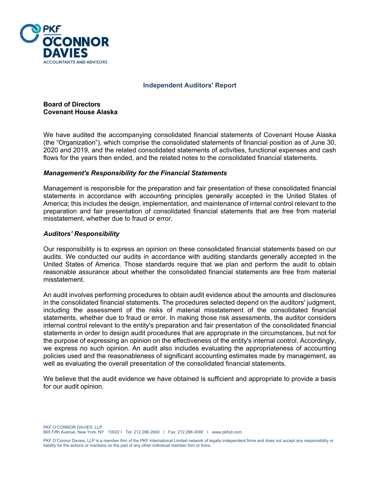

#### **Independent Auditors' Report**

**Board of Directors Covenant House Alaska** 

We have audited the accompanying consolidated financial statements of Covenant House Alaska (the "Organization"), which comprise the consolidated statements of financial position as of June 30, 2020 and 2019, and the related consolidated statements of activities, functional expenses and cash flows for the years then ended, and the related notes to the consolidated financial statements.

#### *Management's Responsibility for the Financial Statements*

Management is responsible for the preparation and fair presentation of these consolidated financial statements in accordance with accounting principles generally accepted in the United States of America; this includes the design, implementation, and maintenance of internal control relevant to the preparation and fair presentation of consolidated financial statements that are free from material misstatement, whether due to fraud or error.

#### *Auditors' Responsibility*

Our responsibility is to express an opinion on these consolidated financial statements based on our audits. We conducted our audits in accordance with auditing standards generally accepted in the United States of America. Those standards require that we plan and perform the audit to obtain reasonable assurance about whether the consolidated financial statements are free from material misstatement.

An audit involves performing procedures to obtain audit evidence about the amounts and disclosures in the consolidated financial statements. The procedures selected depend on the auditors' judgment, including the assessment of the risks of material misstatement of the consolidated financial statements, whether due to fraud or error. In making those risk assessments, the auditor considers internal control relevant to the entity's preparation and fair presentation of the consolidated financial statements in order to design audit procedures that are appropriate in the circumstances, but not for the purpose of expressing an opinion on the effectiveness of the entity's internal control. Accordingly, we express no such opinion. An audit also includes evaluating the appropriateness of accounting policies used and the reasonableness of significant accounting estimates made by management, as well as evaluating the overall presentation of the consolidated financial statements.

We believe that the audit evidence we have obtained is sufficient and appropriate to provide a basis for our audit opinion.

PKE O'CONNOR DAVIES, LLP 665 Fifth Avenue, New York, NY 10022 I Tel: 212.286.2600 I Fax: 212.286.4080 I www.pkfod.com

PKF O'Connor Davies, LLP is a member firm of the PKF International Limited network of legally independent firms and does not accept any responsibility or liability for the actions or inactions on the part of any other individual member firm or firms.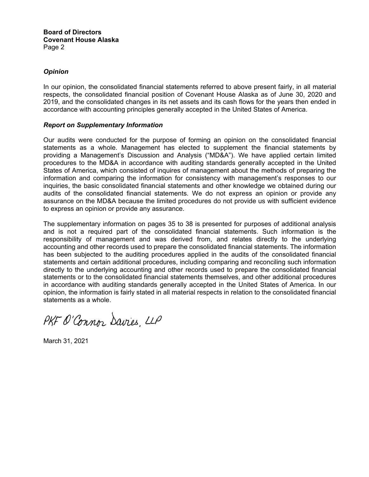#### *Opinion*

In our opinion, the consolidated financial statements referred to above present fairly, in all material respects, the consolidated financial position of Covenant House Alaska as of June 30, 2020 and 2019, and the consolidated changes in its net assets and its cash flows for the years then ended in accordance with accounting principles generally accepted in the United States of America.

#### *Report on Supplementary Information*

Our audits were conducted for the purpose of forming an opinion on the consolidated financial statements as a whole. Management has elected to supplement the financial statements by providing a Management's Discussion and Analysis ("MD&A"). We have applied certain limited procedures to the MD&A in accordance with auditing standards generally accepted in the United States of America, which consisted of inquires of management about the methods of preparing the information and comparing the information for consistency with management's responses to our inquiries, the basic consolidated financial statements and other knowledge we obtained during our audits of the consolidated financial statements. We do not express an opinion or provide any assurance on the MD&A because the limited procedures do not provide us with sufficient evidence to express an opinion or provide any assurance.

The supplementary information on pages 35 to 38 is presented for purposes of additional analysis and is not a required part of the consolidated financial statements. Such information is the responsibility of management and was derived from, and relates directly to the underlying accounting and other records used to prepare the consolidated financial statements. The information has been subjected to the auditing procedures applied in the audits of the consolidated financial statements and certain additional procedures, including comparing and reconciling such information directly to the underlying accounting and other records used to prepare the consolidated financial statements or to the consolidated financial statements themselves, and other additional procedures in accordance with auditing standards generally accepted in the United States of America. In our opinion, the information is fairly stated in all material respects in relation to the consolidated financial statements as a whole.

PKF O'Connor Davies, LLP

March 31, 2021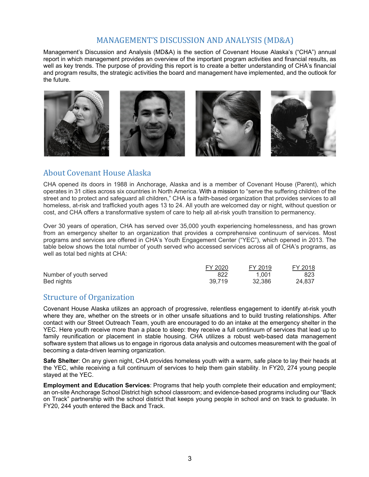### MANAGEMENT'S DISCUSSION AND ANALYSIS (MD&A)

Management's Discussion and Analysis (MD&A) is the section of Covenant House Alaska's ("CHA") annual report in which management provides an overview of the important program activities and financial results, as well as key trends. The purpose of providing this report is to create a better understanding of CHA's financial and program results, the strategic activities the board and management have implemented, and the outlook for the future.



### About Covenant House Alaska

CHA opened its doors in 1988 in Anchorage, Alaska and is a member of Covenant House (Parent), which operates in 31 cities across six countries in North America. With a mission to "serve the suffering children of the street and to protect and safeguard all children," CHA is a faith-based organization that provides services to all homeless, at-risk and trafficked youth ages 13 to 24. All youth are welcomed day or night, without question or cost, and CHA offers a transformative system of care to help all at-risk youth transition to permanency.

Over 30 years of operation, CHA has served over 35,000 youth experiencing homelessness, and has grown from an emergency shelter to an organization that provides a comprehensive continuum of services. Most programs and services are offered in CHA's Youth Engagement Center ("YEC"), which opened in 2013. The table below shows the total number of youth served who accessed services across all of CHA's programs, as well as total bed nights at CHA:

|                        | FY 2020 | FY 2019 | FY 2018 |
|------------------------|---------|---------|---------|
| Number of youth served | 822     | 1.001   | 823     |
| Bed nights             | 39.719  | 32,386  | 24.837  |

### Structure of Organization

Covenant House Alaska utilizes an approach of progressive, relentless engagement to identify at-risk youth where they are, whether on the streets or in other unsafe situations and to build trusting relationships. After contact with our Street Outreach Team, youth are encouraged to do an intake at the emergency shelter in the YEC. Here youth receive more than a place to sleep: they receive a full continuum of services that lead up to family reunification or placement in stable housing. CHA utilizes a robust web-based data management software system that allows us to engage in rigorous data analysis and outcomes measurement with the goal of becoming a data-driven learning organization.

**Safe Shelter**: On any given night, CHA provides homeless youth with a warm, safe place to lay their heads at the YEC, while receiving a full continuum of services to help them gain stability. In FY20, 274 young people stayed at the YEC.

**Employment and Education Services**: Programs that help youth complete their education and employment; an on-site Anchorage School District high school classroom; and evidence-based programs including our "Back on Track" partnership with the school district that keeps young people in school and on track to graduate. In FY20, 244 youth entered the Back and Track.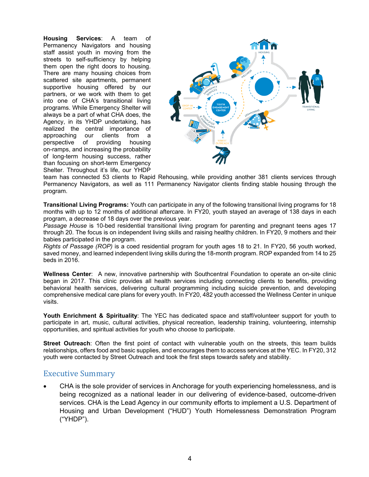**Housing Services**: A team of Permanency Navigators and housing staff assist youth in moving from the streets to self-sufficiency by helping them open the right doors to housing. There are many housing choices from scattered site apartments, permanent supportive housing offered by our partners, or we work with them to get into one of CHA's transitional living programs. While Emergency Shelter will always be a part of what CHA does, the Agency, in its YHDP undertaking, has realized the central importance of approaching our clients from a perspective of providing housing on-ramps, and increasing the probability of long-term housing success, rather than focusing on short-term Emergency Shelter. Throughout it's life, our YHDP



team has connected 53 clients to Rapid Rehousing, while providing another 381 clients services through Permanency Navigators, as well as 111 Permanency Navigator clients finding stable housing through the program.

**Transitional Living Programs:** Youth can participate in any of the following transitional living programs for 18 months with up to 12 months of additional aftercare. In FY20, youth stayed an average of 138 days in each program, a decrease of 18 days over the previous year.

*Passage House* is 10-bed residential transitional living program for parenting and pregnant teens ages 17 through 20. The focus is on independent living skills and raising healthy children. In FY20, 9 mothers and their babies participated in the program.

*Rights of Passage (ROP)* is a coed residential program for youth ages 18 to 21. In FY20, 56 youth worked, saved money, and learned independent living skills during the 18-month program. ROP expanded from 14 to 25 beds in 2016.

**Wellness Center**: A new, innovative partnership with Southcentral Foundation to operate an on-site clinic began in 2017. This clinic provides all health services including connecting clients to benefits, providing behavioral health services, delivering cultural programming including suicide prevention, and developing comprehensive medical care plans for every youth. In FY20, 482 youth accessed the Wellness Center in unique visits.

**Youth Enrichment & Spirituality**: The YEC has dedicated space and staff/volunteer support for youth to participate in art, music, cultural activities, physical recreation, leadership training, volunteering, internship opportunities, and spiritual activities for youth who choose to participate.

**Street Outreach**: Often the first point of contact with vulnerable youth on the streets, this team builds relationships, offers food and basic supplies, and encourages them to access services at the YEC. In FY20, 312 youth were contacted by Street Outreach and took the first steps towards safety and stability.

### Executive Summary

 CHA is the sole provider of services in Anchorage for youth experiencing homelessness, and is being recognized as a national leader in our delivering of evidence-based, outcome-driven services. CHA is the Lead Agency in our community efforts to implement a U.S. Department of Housing and Urban Development ("HUD") Youth Homelessness Demonstration Program ("YHDP").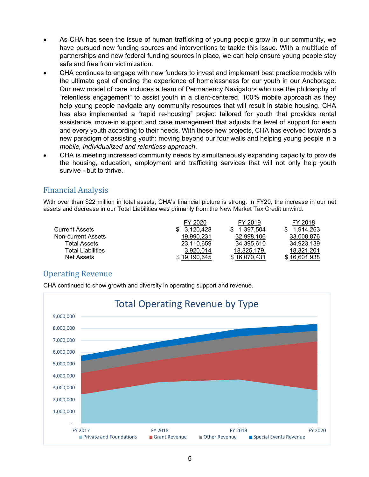- As CHA has seen the issue of human trafficking of young people grow in our community, we have pursued new funding sources and interventions to tackle this issue. With a multitude of partnerships and new federal funding sources in place, we can help ensure young people stay safe and free from victimization.
- CHA continues to engage with new funders to invest and implement best practice models with the ultimate goal of ending the experience of homelessness for our youth in our Anchorage. Our new model of care includes a team of Permanency Navigators who use the philosophy of "relentless engagement" to assist youth in a client-centered, 100% mobile approach as they help young people navigate any community resources that will result in stable housing. CHA has also implemented a "rapid re-housing" project tailored for youth that provides rental assistance, move-in support and case management that adjusts the level of support for each and every youth according to their needs. With these new projects, CHA has evolved towards a new paradigm of assisting youth: moving beyond our four walls and helping young people in a *mobile, individualized and relentless approach*.
- CHA is meeting increased community needs by simultaneously expanding capacity to provide the housing, education, employment and trafficking services that will not only help youth survive - but to thrive.

## Financial Analysis

With over than \$22 million in total assets, CHA's financial picture is strong. In FY20, the increase in our net assets and decrease in our Total Liabilities was primarily from the New Market Tax Credit unwind.

|                          | FY 2020      | FY 2019      | FY 2018      |
|--------------------------|--------------|--------------|--------------|
| <b>Current Assets</b>    | 3.120.428    | 1,397,504    | 1.914.263    |
| Non-current Assets       | 19.990.231   | 32.998.106   | 33,008,876   |
| Total Assets             | 23,110,659   | 34,395,610   | 34,923,139   |
| <b>Total Liabilities</b> | 3,920,014    | 18,325,179,  | 18,321,201   |
| Net Assets               | \$19.190.645 | \$16,070,431 | \$16,601,938 |

### Operating Revenue

CHA continued to show growth and diversity in operating support and revenue.

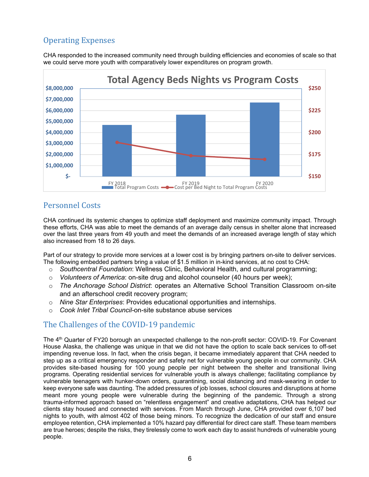## Operating Expenses

CHA responded to the increased community need through building efficiencies and economies of scale so that we could serve more youth with comparatively lower expenditures on program growth.



### Personnel Costs

CHA continued its systemic changes to optimize staff deployment and maximize community impact. Through these efforts, CHA was able to meet the demands of an average daily census in shelter alone that increased over the last three years from 49 youth and meet the demands of an increased average length of stay which also increased from 18 to 26 days.

Part of our strategy to provide more services at a lower cost is by bringing partners on-site to deliver services. The following embedded partners bring a value of \$1.5 million in in-kind services, at no cost to CHA:

- o *Southcentral Foundation*: Wellness Clinic, Behavioral Health, and cultural programming;
- o *Volunteers of America*: on-site drug and alcohol counselor (40 hours per week);
- o *The Anchorage School District*: operates an Alternative School Transition Classroom on-site and an afterschool credit recovery program;
- o *Nine Star Enterprises*: Provides educational opportunities and internships.
- o *Cook Inlet Tribal Council-*on-site substance abuse services

### The Challenges of the COVID-19 pandemic

The 4<sup>th</sup> Quarter of FY20 borough an unexpected challenge to the non-profit sector: COVID-19. For Covenant House Alaska, the challenge was unique in that we did not have the option to scale back services to off-set impending revenue loss. In fact, when the crisis began, it became immediately apparent that CHA needed to step up as a critical emergency responder and safety net for vulnerable young people in our community. CHA provides site-based housing for 100 young people per night between the shelter and transitional living programs. Operating residential services for vulnerable youth is always challenge; facilitating compliance by vulnerable teenagers with hunker-down orders, quarantining, social distancing and mask-wearing in order to keep everyone safe was daunting. The added pressures of job losses, school closures and disruptions at home meant more young people were vulnerable during the beginning of the pandemic. Through a strong trauma-informed approach based on "relentless engagement" and creative adaptations, CHA has helped our clients stay housed and connected with services. From March through June, CHA provided over 6,107 bed nights to youth, with almost 402 of those being minors. To recognize the dedication of our staff and ensure employee retention, CHA implemented a 10% hazard pay differential for direct care staff. These team members are true heroes; despite the risks, they tirelessly come to work each day to assist hundreds of vulnerable young people.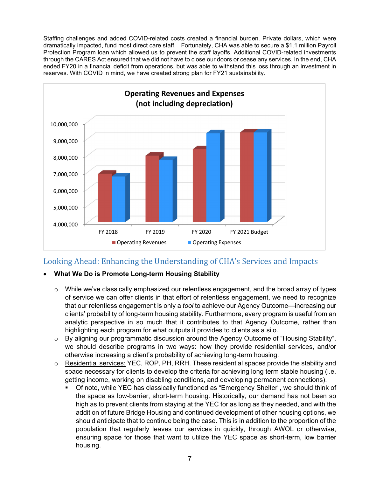Staffing challenges and added COVID-related costs created a financial burden. Private dollars, which were dramatically impacted, fund most direct care staff. Fortunately, CHA was able to secure a \$1.1 million Payroll Protection Program loan which allowed us to prevent the staff layoffs. Additional COVID-related investments through the CARES Act ensured that we did not have to close our doors or cease any services. In the end, CHA ended FY20 in a financial deficit from operations, but was able to withstand this loss through an investment in reserves. With COVID in mind, we have created strong plan for FY21 sustainability.



### Looking Ahead: Enhancing the Understanding of CHA's Services and Impacts

### **What We Do is Promote Long-term Housing Stability**

- $\circ$  While we've classically emphasized our relentless engagement, and the broad array of types of service we can offer clients in that effort of relentless engagement, we need to recognize that our relentless engagement is only a *tool* to achieve our Agency Outcome—increasing our clients' probability of long-term housing stability. Furthermore, every program is useful from an analytic perspective in so much that it contributes to that Agency Outcome, rather than highlighting each program for what outputs it provides to clients as a silo.
- $\circ$  By aligning our programmatic discussion around the Agency Outcome of "Housing Stability", we should describe programs in two ways: how they provide residential services, and/or otherwise increasing a client's probability of achieving long-term housing.
- $\circ$  Residential services: YEC, ROP, PH, RRH. These residential spaces provide the stability and space necessary for clients to develop the criteria for achieving long term stable housing (i.e. getting income, working on disabling conditions, and developing permanent connections).
	- Of note, while YEC has classically functioned as "Emergency Shelter", we should think of the space as low-barrier, short-term housing. Historically, our demand has not been so high as to prevent clients from staying at the YEC for as long as they needed, and with the addition of future Bridge Housing and continued development of other housing options, we should anticipate that to continue being the case. This is in addition to the proportion of the population that regularly leaves our services in quickly, through AWOL or otherwise, ensuring space for those that want to utilize the YEC space as short-term, low barrier housing.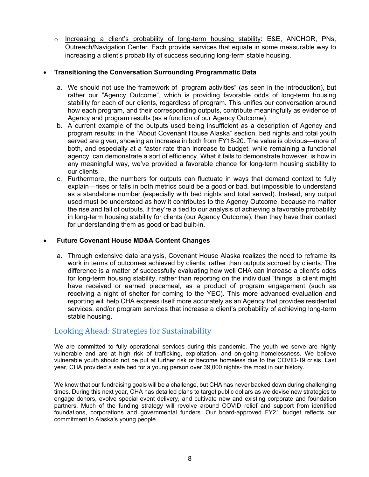o Increasing a client's probability of long-term housing stability: E&E, ANCHOR, PNs, Outreach/Navigation Center. Each provide services that equate in some measurable way to increasing a client's probability of success securing long-term stable housing.

#### **Transitioning the Conversation Surrounding Programmatic Data**

- a. We should not use the framework of "program activities" (as seen in the introduction), but rather our "Agency Outcome", which is providing favorable odds of long-term housing stability for each of our clients, regardless of program. This unifies our conversation around how each program, and their corresponding outputs, contribute meaningfully as evidence of Agency and program results (as a function of our Agency Outcome).
- b. A current example of the outputs used being insufficient as a description of Agency and program results: in the "About Covenant House Alaska" section, bed nights and total youth served are given, showing an increase in both from FY18-20. The value is obvious—more of both, and especially at a faster rate than increase to budget, while remaining a functional agency, can demonstrate a sort of efficiency. What it fails to demonstrate however, is how in any meaningful way, we've provided a favorable chance for long-term housing stability to our clients.
- c. Furthermore, the numbers for outputs can fluctuate in ways that demand context to fully explain—rises or falls in both metrics could be a good or bad, but impossible to understand as a standalone number (especially with bed nights and total served). Instead, any output used must be understood as how it contributes to the Agency Outcome, because no matter the rise and fall of outputs, if they're a tied to our analysis of achieving a favorable probability in long-term housing stability for clients (our Agency Outcome), then they have their context for understanding them as good or bad built-in.

#### **Future Covenant House MD&A Content Changes**

a. Through extensive data analysis, Covenant House Alaska realizes the need to reframe its work in terms of outcomes achieved by clients, rather than outputs accrued by clients. The difference is a matter of successfully evaluating how well CHA can increase a client's odds for long-term housing stability, rather than reporting on the individual "things" a client might have received or earned piecemeal, as a product of program engagement (such as receiving a night of shelter for coming to the YEC). This more advanced evaluation and reporting will help CHA express itself more accurately as an Agency that provides residential services, and/or program services that increase a client's probability of achieving long-term stable housing.

### Looking Ahead: Strategies for Sustainability

We are committed to fully operational services during this pandemic. The youth we serve are highly vulnerable and are at high risk of trafficking, exploitation, and on-going homelessness. We believe vulnerable youth should not be put at further risk or become homeless due to the COVID-19 crisis. Last year, CHA provided a safe bed for a young person over 39,000 nights- the most in our history.

We know that our fundraising goals will be a challenge, but CHA has never backed down during challenging times. During this next year, CHA has detailed plans to target public dollars as we devise new strategies to engage donors, evolve special event delivery, and cultivate new and existing corporate and foundation partners. Much of the funding strategy will revolve around COVID relief and support from identified foundations, corporations and governmental funders. Our board-approved FY21 budget reflects our commitment to Alaska's young people.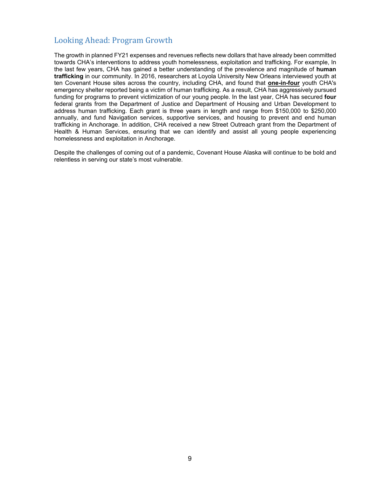## Looking Ahead: Program Growth

The growth in planned FY21 expenses and revenues reflects new dollars that have already been committed towards CHA's interventions to address youth homelessness, exploitation and trafficking. For example, In the last few years, CHA has gained a better understanding of the prevalence and magnitude of **human trafficking** in our community. In 2016, researchers at Loyola University New Orleans interviewed youth at ten Covenant House sites across the country, including CHA, and found that **one-in-four** youth CHA's emergency shelter reported being a victim of human trafficking. As a result, CHA has aggressively pursued funding for programs to prevent victimization of our young people. In the last year, CHA has secured **four** federal grants from the Department of Justice and Department of Housing and Urban Development to address human trafficking. Each grant is three years in length and range from \$150,000 to \$250,000 annually, and fund Navigation services, supportive services, and housing to prevent and end human trafficking in Anchorage. In addition, CHA received a new Street Outreach grant from the Department of Health & Human Services, ensuring that we can identify and assist all young people experiencing homelessness and exploitation in Anchorage.

Despite the challenges of coming out of a pandemic, Covenant House Alaska will continue to be bold and relentless in serving our state's most vulnerable.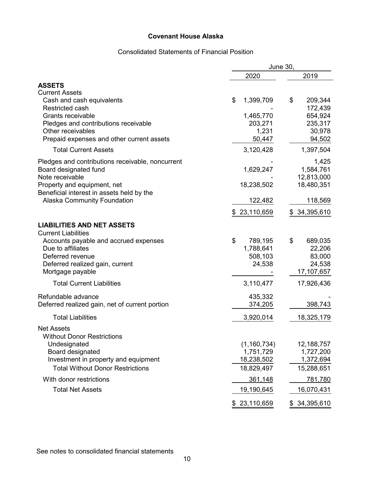### Consolidated Statements of Financial Position

|                                                                | June 30,                   |                          |  |  |
|----------------------------------------------------------------|----------------------------|--------------------------|--|--|
|                                                                | 2020                       | 2019                     |  |  |
| <b>ASSETS</b><br><b>Current Assets</b>                         |                            |                          |  |  |
| Cash and cash equivalents<br><b>Restricted cash</b>            | \$<br>1,399,709            | 209,344<br>\$<br>172,439 |  |  |
| Grants receivable                                              | 1,465,770                  | 654,924                  |  |  |
| Pledges and contributions receivable                           | 203,271                    | 235,317                  |  |  |
| Other receivables<br>Prepaid expenses and other current assets | 1,231<br>50,447            | 30,978<br>94,502         |  |  |
|                                                                |                            |                          |  |  |
| <b>Total Current Assets</b>                                    | 3,120,428                  | 1,397,504                |  |  |
| Pledges and contributions receivable, noncurrent               |                            | 1,425                    |  |  |
| Board designated fund<br>Note receivable                       | 1,629,247                  | 1,584,761<br>12,813,000  |  |  |
| Property and equipment, net                                    | 18,238,502                 | 18,480,351               |  |  |
| Beneficial interest in assets held by the                      |                            |                          |  |  |
| Alaska Community Foundation                                    | 122,482                    | 118,569                  |  |  |
|                                                                | \$23,110,659               | \$34,395,610             |  |  |
| <b>LIABILITIES AND NET ASSETS</b>                              |                            |                          |  |  |
| <b>Current Liabilities</b>                                     |                            |                          |  |  |
| Accounts payable and accrued expenses                          | \$<br>789,195              | \$<br>689,035            |  |  |
| Due to affiliates                                              | 1,788,641                  | 22,206                   |  |  |
| Deferred revenue<br>Deferred realized gain, current            | 508,103<br>24,538          | 83,000<br>24,538         |  |  |
| Mortgage payable                                               |                            | 17,107,657               |  |  |
| <b>Total Current Liabilities</b>                               | 3,110,477                  | 17,926,436               |  |  |
| Refundable advance                                             | 435,332                    |                          |  |  |
| Deferred realized gain, net of current portion                 | 374,205                    | 398,743                  |  |  |
| <b>Total Liabilities</b>                                       | 3,920,014                  | 18,325,179               |  |  |
| <b>Net Assets</b>                                              |                            |                          |  |  |
| <b>Without Donor Restrictions</b><br>Undesignated              |                            | 12,188,757               |  |  |
| Board designated                                               | (1, 160, 734)<br>1,751,729 | 1,727,200                |  |  |
| Investment in property and equipment                           | 18,238,502                 | 1,372,694                |  |  |
| <b>Total Without Donor Restrictions</b>                        | 18,829,497                 | 15,288,651               |  |  |
| With donor restrictions                                        | 361,148                    | 781,780                  |  |  |
| <b>Total Net Assets</b>                                        | 19,190,645                 | 16,070,431               |  |  |
|                                                                | \$23,110,659               | \$34,395,610             |  |  |

See notes to consolidated financial statements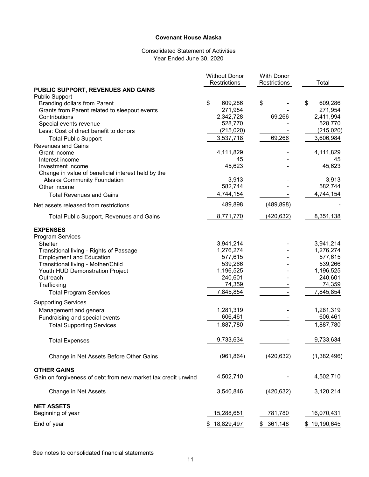#### Consolidated Statement of Activities Year Ended June 30, 2020

|                                                               | <b>Without Donor</b><br>Restrictions | <b>With Donor</b><br>Restrictions | Total         |
|---------------------------------------------------------------|--------------------------------------|-----------------------------------|---------------|
| PUBLIC SUPPORT, REVENUES AND GAINS                            |                                      |                                   |               |
| <b>Public Support</b>                                         |                                      |                                   |               |
| <b>Branding dollars from Parent</b>                           | \$<br>609,286                        | \$                                | 609,286<br>\$ |
| Grants from Parent related to sleepout events                 | 271,954                              |                                   | 271,954       |
| Contributions                                                 | 2,342,728                            | 69,266                            | 2,411,994     |
| Special events revenue                                        | 528,770                              |                                   | 528,770       |
| Less: Cost of direct benefit to donors                        | (215, 020)                           |                                   | (215, 020)    |
| <b>Total Public Support</b>                                   | 3,537,718                            | 69,266                            | 3,606,984     |
| <b>Revenues and Gains</b>                                     |                                      |                                   |               |
| Grant income                                                  | 4,111,829                            |                                   | 4,111,829     |
| Interest income                                               | 45                                   |                                   | 45            |
| Investment income                                             | 45,623                               |                                   | 45,623        |
| Change in value of beneficial interest held by the            |                                      |                                   |               |
| Alaska Community Foundation                                   | 3,913                                |                                   | 3,913         |
| Other income                                                  | 582,744                              |                                   | 582,744       |
| <b>Total Revenues and Gains</b>                               | 4,744,154                            |                                   | 4,744,154     |
| Net assets released from restrictions                         | 489,898                              | (489, 898)                        |               |
| <b>Total Public Support, Revenues and Gains</b>               | 8,771,770                            | (420, 632)                        | 8,351,138     |
| <b>EXPENSES</b>                                               |                                      |                                   |               |
| <b>Program Services</b>                                       |                                      |                                   |               |
| Shelter                                                       | 3,941,214                            |                                   | 3,941,214     |
| Transitional living - Rights of Passage                       | 1,276,274                            |                                   | 1,276,274     |
| <b>Employment and Education</b>                               | 577,615                              |                                   | 577,615       |
| Transitional living - Mother/Child                            | 539,266                              |                                   | 539,266       |
| Youth HUD Demonstration Project                               | 1,196,525                            |                                   | 1,196,525     |
| Outreach                                                      | 240,601                              |                                   | 240,601       |
| Trafficking                                                   | 74,359                               |                                   | 74,359        |
| <b>Total Program Services</b>                                 | 7,845,854                            |                                   | 7,845,854     |
| <b>Supporting Services</b>                                    |                                      |                                   |               |
| Management and general                                        | 1,281,319                            |                                   | 1,281,319     |
| Fundraising and special events                                | 606,461                              |                                   | 606,461       |
|                                                               | 1,887,780                            |                                   | 1,887,780     |
| <b>Total Supporting Services</b>                              |                                      |                                   |               |
| <b>Total Expenses</b>                                         | 9,733,634                            |                                   | 9,733,634     |
| Change in Net Assets Before Other Gains                       | (961, 864)                           | (420, 632)                        | (1,382,496)   |
| <b>OTHER GAINS</b>                                            |                                      |                                   |               |
| Gain on forgiveness of debt from new market tax credit unwind | 4,502,710                            |                                   | 4,502,710     |
| Change in Net Assets                                          | 3,540,846                            | (420, 632)                        | 3,120,214     |
| <b>NET ASSETS</b>                                             |                                      |                                   |               |
| Beginning of year                                             | 15,288,651                           | 781,780                           | 16,070,431    |
| End of year                                                   | 18,829,497<br>\$                     | 361,148<br>\$                     | \$19,190,645  |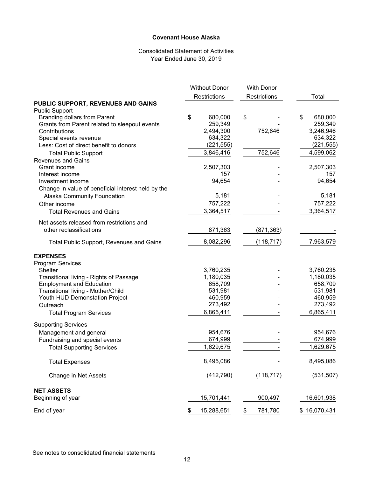#### Consolidated Statement of Activities Year Ended June 30, 2019

|                                                              | <b>Without Donor</b> | <b>With Donor</b> |               |
|--------------------------------------------------------------|----------------------|-------------------|---------------|
|                                                              | Restrictions         | Restrictions      | Total         |
| PUBLIC SUPPORT, REVENUES AND GAINS                           |                      |                   |               |
| <b>Public Support</b><br><b>Branding dollars from Parent</b> | \$<br>680,000        | \$                | \$<br>680,000 |
| Grants from Parent related to sleepout events                | 259,349              |                   | 259,349       |
| Contributions                                                | 2,494,300            | 752,646           | 3,246,946     |
| Special events revenue                                       | 634,322              |                   | 634,322       |
| Less: Cost of direct benefit to donors                       | (221, 555)           |                   | (221, 555)    |
| <b>Total Public Support</b>                                  | 3,846,416            | 752,646           | 4,599,062     |
| <b>Revenues and Gains</b>                                    |                      |                   |               |
| Grant income                                                 | 2,507,303            |                   | 2,507,303     |
| Interest income                                              | 157                  |                   | 157           |
| Investment income                                            | 94,654               |                   | 94,654        |
| Change in value of beneficial interest held by the           |                      |                   |               |
| Alaska Community Foundation                                  | 5,181                |                   | 5,181         |
| Other income                                                 | 757,222              |                   | 757,222       |
| <b>Total Revenues and Gains</b>                              | 3,364,517            |                   | 3,364,517     |
|                                                              |                      |                   |               |
| Net assets released from restrictions and                    |                      |                   |               |
| other reclassifications                                      | 871,363              | (871, 363)        |               |
| <b>Total Public Support, Revenues and Gains</b>              | 8,082,296            | (118, 717)        | 7,963,579     |
| <b>EXPENSES</b>                                              |                      |                   |               |
| <b>Program Services</b>                                      |                      |                   |               |
| <b>Shelter</b>                                               | 3,760,235            |                   | 3,760,235     |
| Transitional living - Rights of Passage                      | 1,180,035            |                   | 1,180,035     |
| <b>Employment and Education</b>                              | 658,709              |                   | 658,709       |
| Transitional living - Mother/Child                           | 531,981              |                   | 531,981       |
| Youth HUD Demonstation Project                               | 460,959              |                   | 460,959       |
| Outreach                                                     | 273,492              |                   | 273,492       |
| <b>Total Program Services</b>                                | 6,865,411            |                   | 6,865,411     |
| <b>Supporting Services</b>                                   |                      |                   |               |
| Management and general                                       | 954,676              |                   | 954,676       |
| Fundraising and special events                               | 674,999              |                   | 674,999       |
| <b>Total Supporting Services</b>                             | 1,629,675            |                   | 1,629,675     |
|                                                              |                      |                   |               |
| <b>Total Expenses</b>                                        | 8,495,086            |                   | 8,495,086     |
| Change in Net Assets                                         | (412, 790)           | (118, 717)        | (531, 507)    |
| <b>NET ASSETS</b>                                            |                      |                   |               |
| Beginning of year                                            | 15,701,441           | 900,497           | 16,601,938    |
| End of year                                                  | 15,288,651<br>\$     | \$<br>781,780     | \$16,070,431  |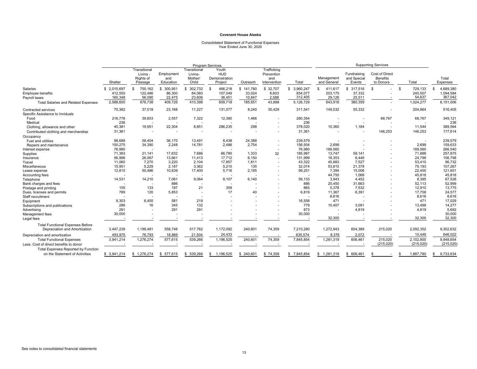### Consolidated Statement of Functional Expenses Year Ended June 30, 2020

|                                                                              | <b>Program Services</b> |                                                  |                                |                                             |                                          | <b>Supporting Services</b> |                                                  |                 |                           |                                      |                                         |                  |                   |
|------------------------------------------------------------------------------|-------------------------|--------------------------------------------------|--------------------------------|---------------------------------------------|------------------------------------------|----------------------------|--------------------------------------------------|-----------------|---------------------------|--------------------------------------|-----------------------------------------|------------------|-------------------|
|                                                                              | Shelter                 | Transitional<br>Living -<br>Rights of<br>Passage | Employment<br>and<br>Education | Transitional<br>Living-<br>Mother/<br>Child | Youth<br>HUD<br>Demonstration<br>Project | Outreach                   | Trafficking<br>Prevention<br>and<br>Intervention | Total           | Management<br>and General | Fundraising<br>and Special<br>Events | Cost of Direct<br>Benefits<br>to Donors | Total            | Total<br>Expenses |
| Salaries                                                                     | \$2.015.697             | 700,162<br>\$                                    | \$ 300,951                     | \$ 302,732                                  | 466,218<br>S.                            | \$141,780                  | \$ 32,707                                        | S.<br>3.960.247 | 411.617<br>$\mathbf{s}$   | \$317,516                            | -S                                      | \$<br>729.133    | 4,689,380<br>-\$  |
| <b>Employee benefits</b>                                                     | 412,555                 | 122,486                                          | 86,300                         | 84,060                                      | 107,049                                  | 33,024                     | 8,603                                            | 854,077         | 203,175                   | 37,332                               |                                         | 240,507          | 1,094,584         |
| Payroll taxes                                                                | 160,348                 | 56,090                                           | 22,475                         | 23,606                                      | 36,451                                   | 10,847                     | 2,588                                            | 312,405         | 29,126                    | 25,511                               |                                         | 54,637           | 367,042           |
| <b>Total Salaries and Related Expenses</b>                                   | 2,588,600               | 878,738                                          | 409,726                        | 410,398                                     | 609,718                                  | 185,651                    | 43,898                                           | 5,126,729       | 643,918                   | 380,359                              |                                         | 1,024,277        | 6,151,006         |
| Contracted services<br>Specific Assistance to Inviduals                      | 70,382                  | 37,018                                           | 23.168                         | 11,227                                      | 131.077                                  | 8.240                      | 30.429                                           | 311,541         | 149,532                   | 55,332                               |                                         | 204,864          | 516,405           |
| Food                                                                         | 216,776                 | 39,853                                           | 2,557                          | 7,322                                       | 12,380                                   | 1,466                      |                                                  | 280,354         |                           |                                      | 68,767                                  | 68,767           | 349,121           |
| Medical                                                                      | 236                     |                                                  |                                |                                             |                                          |                            |                                                  | 236             |                           |                                      |                                         |                  | 236               |
| Clothing, allowance and other                                                | 40,381                  | 19,951                                           | 22,304                         | 8,851                                       | 286,235                                  | 298                        |                                                  | 378,020         | 10,360                    | 1,184                                |                                         | 11,544           | 389,564           |
| Contributed clothing and merchandise                                         | 31,361                  |                                                  | $\overline{\phantom{a}}$       |                                             |                                          |                            |                                                  | 31,361          |                           | ٠                                    | 146,253                                 | 146,253          | 177,614           |
| Occupancy                                                                    |                         |                                                  |                                |                                             |                                          |                            |                                                  |                 |                           |                                      |                                         |                  |                   |
| Fuel and utilities                                                           | 98,688                  | 58,404                                           | 36,170                         | 13,491                                      | 8,438                                    | 24,388                     |                                                  | 239,579         |                           |                                      |                                         |                  | 239,579           |
| Repairs and maintenance                                                      | 100,275                 | 34,390                                           | 2,248                          | 14,781                                      | 2,486                                    | 2,754                      | $\sim$                                           | 156,934         | 2,699                     |                                      |                                         | 2,699            | 159,633           |
| Interest expense                                                             | 76,980                  |                                                  |                                |                                             |                                          |                            |                                                  | 76,980          | 189,560                   |                                      |                                         | 189,560          | 266,540           |
| Supplies                                                                     | 71,383                  | 21,141                                           | 17.632                         | 7,686                                       | 66,780                                   | 1,333                      | 32                                               | 185,987         | 13,747                    | 58,141                               |                                         | 71,888           | 257,875           |
| Insurance                                                                    | 56,996                  | 26,067                                           | 13,661                         | 11,413                                      | 17.712                                   | 6,150                      |                                                  | 131,999         | 18,353                    | 6,446                                |                                         | 24,799           | 156,798           |
| Travel                                                                       | 11,060                  | 7,270                                            | 3,220                          | 2,104                                       | 17,857                                   | 1,811                      |                                                  | 43,322          | 45,883                    | 7,527                                |                                         | 53,410           | 96,732            |
| Miscellaneous                                                                | 15.951                  | 5.229                                            | 2.187                          | 3.362                                       | 5.210                                    | 135                        |                                                  | 32,074          | 53.815                    | 21,378                               |                                         | 75,193           | 107,267           |
| Lease expense                                                                | 12,815                  | 50,486                                           | 10,639                         | 17,400                                      | 5.716                                    | 2,195                      |                                                  | 99,251          | 7,394                     | 15,006                               |                                         | 22,400           | 121,651           |
| Accounting fees                                                              |                         |                                                  |                                |                                             |                                          |                            |                                                  |                 | 44,750                    | 1,068                                |                                         | 45,818           | 45,818            |
| Telephone                                                                    | 14,531                  | 14,210                                           | 7,081                          | 9,064                                       | 8.107                                    | 6.140                      |                                                  | 59,133          | 3,943                     | 4,452                                |                                         | 8,395            | 67,528            |
| Bank charges and fees                                                        |                         |                                                  | 886                            |                                             |                                          |                            |                                                  | 886             | 20,450                    | 31,663                               |                                         | 52,113           | 52,999            |
| Postage and printing                                                         | 155                     | 133                                              | 197                            | 21                                          | 359                                      |                            |                                                  | 865             | 5,378                     | 7,532                                |                                         | 12,910           | 13,775            |
| Dues, licenses and permits                                                   | 789                     | 120                                              | 5,853                          |                                             | 17                                       | 40                         |                                                  | 6,819           | 11,367                    | 6,391                                |                                         | 17,758           | 24,577            |
| Staff recruitment                                                            |                         |                                                  |                                |                                             |                                          |                            |                                                  |                 | 8,616                     |                                      |                                         | 8,616            | 8,616             |
| Equipment                                                                    | 9,303                   | 6,455                                            | 581                            | 219                                         |                                          |                            |                                                  | 16,558          | 471                       |                                      |                                         | 471              | 17,029            |
| Subscriptions and publications                                               | 286                     | 16                                               | 345                            | 132                                         |                                          |                            |                                                  | 779             | 10,407                    | 3,091                                |                                         | 13,498           | 14,277            |
| Advertising                                                                  | 291                     |                                                  | 291                            | 291                                         |                                          |                            |                                                  | 873             |                           | 4,819                                |                                         | 4,819            | 5,692             |
| Management fees                                                              | 30,000                  |                                                  |                                |                                             |                                          |                            |                                                  | 30,000          |                           |                                      |                                         |                  | 30,000            |
| Legal fees                                                                   |                         |                                                  |                                |                                             |                                          |                            |                                                  |                 | 32,300                    |                                      |                                         | 32,300           | 32,300            |
| <b>Total Functional Expenses Before</b><br>Depreciation and Amortization     | 3,447,239               | 1,199,481                                        | 558,746                        | 517,762                                     | 1,172,092                                | 240,601                    | 74,359                                           | 7,210,280       | 1,272,943                 | 604,389                              | 215,020                                 | 2,092,352        | 9,302,632         |
| Depreciation and amortization                                                | 493,975                 | 76,793                                           | 18,869                         | 21,504                                      | 24,433                                   |                            |                                                  | 635,574         | 8,376                     | 2,072                                |                                         | 10,448           | 646,022           |
| <b>Total Functional Expenses</b>                                             | 3,941,214               | 1,276,274                                        | 577,615                        | 539,266                                     | 1,196,525                                | 240,601                    | 74,359                                           | 7,845,854       | 1,281,319                 | 606,461                              | 215,020                                 | 2,102,800        | 9,948,654         |
| Less: Cost of direct benefits to donor                                       |                         |                                                  |                                |                                             |                                          |                            |                                                  |                 |                           |                                      | (215, 020)                              | (215, 020)       | (215, 020)        |
|                                                                              |                         |                                                  |                                |                                             |                                          |                            |                                                  |                 |                           |                                      |                                         |                  |                   |
| <b>Total Expenses Reported by Function</b><br>on the Statement of Activities | \$3,941,214             | \$1,276,274                                      | \$ 577,615                     | \$539,266                                   | \$1,196,525                              | \$ 240,601                 | \$74,359                                         | \$7,845,854     | \$1,281,319               | \$ 606,461                           | S<br>٠.                                 | 1,887,780<br>\$. | 9,733,634<br>-SS  |
|                                                                              |                         |                                                  |                                |                                             |                                          |                            |                                                  |                 |                           |                                      |                                         |                  |                   |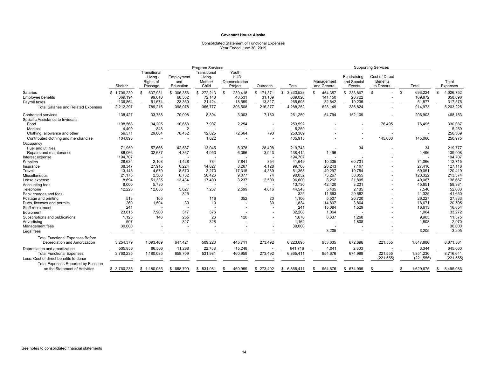### Consolidated Statement of Functional Expenses Year Ended June 30, 2019

|                                            | <b>Program Services</b> |                                                |                                |                                             |                                                 | <b>Supporting Services</b> |             |                           |                                      |                                                |               |                   |
|--------------------------------------------|-------------------------|------------------------------------------------|--------------------------------|---------------------------------------------|-------------------------------------------------|----------------------------|-------------|---------------------------|--------------------------------------|------------------------------------------------|---------------|-------------------|
|                                            | Shelter                 | Transitional<br>Livina<br>Rights of<br>Passage | Employment<br>and<br>Education | Transitional<br>Living-<br>Mother/<br>Child | Youth<br><b>HUD</b><br>Demonstration<br>Project | Outreach                   | Total       | Management<br>and General | Fundraising<br>and Special<br>Events | Cost of Direct<br><b>Benefits</b><br>to Donors | Total         | Total<br>Expenses |
| Salaries                                   | \$1,706,239             | \$<br>637,931                                  | \$ 306,356                     | 272,213<br>\$                               | 239,418<br>\$                                   | \$171,371                  | \$3,333,528 | \$<br>454,357             | \$238,867                            | \$                                             | \$<br>693,224 | 4,026,752<br>\$   |
| <b>Employee benefits</b>                   | 369,194                 | 99.610                                         | 68,362                         | 72,140                                      | 48,531                                          | 31,189                     | 689,026     | 141,150                   | 28,722                               |                                                | 169,872       | 858,898           |
| Pavroll taxes                              | 136,864                 | 51,674                                         | 23,360                         | 21,424                                      | 18,559                                          | 13,817                     | 265,698     | 32,642                    | 19,235                               |                                                | 51,877        | 317,575           |
| <b>Total Salaries and Related Expenses</b> | 2,212,297               | 789,215                                        | 398,078                        | 365,777                                     | 306,508                                         | 216,377                    | 4,288,252   | 628,149                   | 286,824                              |                                                | 914,973       | 5,203,225         |
| Contracted services                        | 138,427                 | 33,758                                         | 70,008                         | 8,894                                       | 3,003                                           | 7,160                      | 261,250     | 54,794                    | 152,109                              |                                                | 206,903       | 468,153           |
| Specific Assistance to Inviduals           |                         |                                                |                                |                                             |                                                 |                            |             |                           |                                      |                                                |               |                   |
| Food                                       | 198,568                 | 34,205                                         | 10,658                         | 7,907                                       | 2,254                                           | ٠                          | 253,592     |                           |                                      | 76,495                                         | 76,495        | 330,087           |
| Medical                                    | 4,409                   | 848                                            | 2                              |                                             |                                                 | ٠                          | 5,259       |                           |                                      |                                                |               | 5,259             |
| Clothing, allowance and other              | 56,571                  | 29,064                                         | 78,452                         | 12,825                                      | 72,664                                          | 793                        | 250,369     |                           |                                      |                                                |               | 250,369           |
| Contributed clothing and merchandise       | 104,893                 |                                                |                                | 1,022                                       |                                                 | $\overline{\phantom{a}}$   | 105,915     |                           |                                      | 145,060                                        | 145,060       | 250,975           |
| Occupancy                                  |                         |                                                |                                |                                             |                                                 |                            |             |                           |                                      |                                                |               |                   |
| Fuel and utilities                         | 71,959                  | 57,666                                         | 42,587                         | 13,045                                      | 6,078                                           | 28,408                     | 219,743     |                           | 34                                   |                                                | 34            | 219,777           |
| Repairs and maintenance                    | 86,066                  | 32,687                                         | 4,367                          | 4,953                                       | 6,396                                           | 3,943                      | 138,412     | 1,496                     |                                      |                                                | 1,496         | 139,908           |
| Interest expense                           | 194,707                 |                                                |                                |                                             |                                                 |                            | 194,707     |                           |                                      |                                                |               | 194,707           |
| Supplies                                   | 28,634                  | 2,108                                          | 1,428                          | 784                                         | 7,841                                           | 854                        | 41,649      | 10,335                    | 60,731                               |                                                | 71,066        | 112,715           |
| Insurance                                  | 38,347                  | 27,915                                         | 6.224                          | 14,827                                      | 8,267                                           | 4.128                      | 99.708      | 20,243                    | 7.167                                |                                                | 27,410        | 127,118           |
| Travel                                     | 13,145                  | 4,679                                          | 8,570                          | 3,270                                       | 17,315                                          | 4,389                      | 51,368      | 49,297                    | 19,754                               |                                                | 69,051        | 120,419           |
| Miscellaneous                              | 21,175                  | 2.568                                          | 6.732                          | 50,426                                      | 9,077                                           | 74                         | 90.052      | 73,267                    | 50.055                               |                                                | 123,322       | 213,374           |
| Lease expense                              | 8.694                   | 51,335                                         | 13,434                         | 17,400                                      | 3,237                                           | 2,500                      | 96,600      | 8,262                     | 31,805                               |                                                | 40,067        | 136,667           |
| Accounting fees                            | 8,000                   | 5,730                                          |                                |                                             |                                                 |                            | 13,730      | 42,420                    | 3,231                                |                                                | 45,651        | 59,381            |
| Telephone                                  | 12,228                  | 12,036                                         | 5,627                          | 7,237                                       | 2,599                                           | 4,816                      | 44,543      | 5,405                     | 2,135                                |                                                | 7,540         | 52,083            |
| Bank charges and fees                      |                         |                                                | 325                            |                                             |                                                 |                            | 325         | 11.663                    | 29.662                               |                                                | 41.325        | 41,650            |
| Postage and printing                       | 513                     | 105                                            |                                | 116                                         | 352                                             | 20                         | 1.106       | 5,507                     | 20,720                               |                                                | 26,227        | 27,333            |
| Dues, licenses and permits                 | 260                     | 1,504                                          | 30                             | 10                                          |                                                 | 30                         | 1,834       | 14,807                    | 3.864                                |                                                | 18,671        | 20,505            |
| Staff recruitment                          | 241                     |                                                |                                | $\overline{\phantom{a}}$                    |                                                 | $\overline{\phantom{a}}$   | 241         | 15,084                    | 1,529                                |                                                | 16,613        | 16,854            |
| Equipment                                  | 23,615                  | 7,900                                          | 317                            | 376                                         |                                                 | $\overline{\phantom{a}}$   | 32,208      | 1,064                     |                                      |                                                | 1,064         | 33,272            |
| Subscriptions and publications             | 1,123                   | 146                                            | 255                            | 26                                          | 120                                             |                            | 1.670       | 8,637                     | 1.268                                |                                                | 9,905         | 11,575            |
| Advertising                                | 507                     |                                                | 327                            | 328                                         |                                                 | ٠                          | 1,162       |                           | 1.808                                |                                                | 1,808         | 2,970             |
| Management fees                            | 30,000                  |                                                |                                |                                             |                                                 |                            | 30,000      |                           |                                      |                                                |               | 30,000            |
| Legal fees                                 |                         |                                                |                                |                                             |                                                 |                            |             | 3,205                     |                                      |                                                | 3,205         | 3,205             |
| <b>Total Functional Expenses Before</b>    |                         |                                                |                                |                                             |                                                 |                            |             |                           |                                      |                                                |               |                   |
| Depreciation and Amortization              | 3,254,379               | 1,093,469                                      | 647,421                        | 509,223                                     | 445,711                                         | 273,492                    | 6,223,695   | 953,635                   | 672,696                              | 221,555                                        | 1,847,886     | 8,071,581         |
| Depreciation and amortization              | 505,856                 | 86,566                                         | 11,288                         | 22,758                                      | 15,248                                          |                            | 641.716     | 1,041                     | 2,303                                |                                                | 3,344         | 645,060           |
| <b>Total Functional Expenses</b>           | 3,760,235               | 1,180,035                                      | 658,709                        | 531,981                                     | 460,959                                         | 273,492                    | 6,865,411   | 954,676                   | 674,999                              | 221,555                                        | 1,851,230     | 8,716,641         |
| Less: Cost of direct benefits to donor     |                         |                                                |                                |                                             |                                                 |                            |             |                           |                                      | (221, 555)                                     | (221, 555)    | (221, 555)        |
| Total Expenses Reported by Function        |                         |                                                |                                |                                             |                                                 |                            |             |                           |                                      |                                                |               |                   |
| on the Statement of Activities             | \$3,760,235             | \$1,180,035                                    | \$ 658,709                     | \$531,981                                   | 460,959<br>- 35                                 | \$ 273,492                 | \$6,865,411 | 954,676<br>-S             | 674,999<br>\$                        |                                                | 1,629,675     | 8,495,086<br>\$   |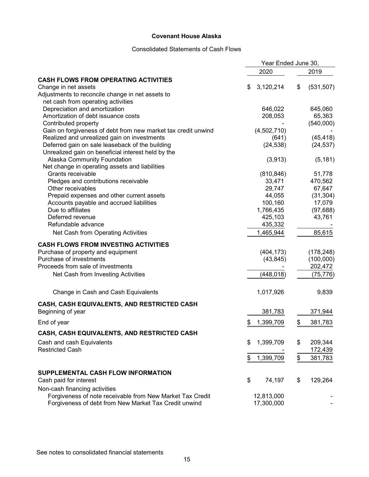#### Consolidated Statements of Cash Flows

|                                                               | Year Ended June 30, |                  |  |
|---------------------------------------------------------------|---------------------|------------------|--|
|                                                               | 2020                | 2019             |  |
| <b>CASH FLOWS FROM OPERATING ACTIVITIES</b>                   |                     |                  |  |
| Change in net assets                                          | 3,120,214<br>\$     | (531, 507)<br>\$ |  |
| Adjustments to reconcile change in net assets to              |                     |                  |  |
| net cash from operating activities                            |                     |                  |  |
| Depreciation and amortization                                 | 646,022             | 645,060          |  |
| Amortization of debt issuance costs                           | 208,053             | 65,363           |  |
| Contributed property                                          |                     | (540,000)        |  |
| Gain on forgiveness of debt from new market tax credit unwind | (4,502,710)         |                  |  |
| Realized and unrealized gain on investments                   | (641)               | (45, 418)        |  |
| Deferred gain on sale leaseback of the building               | (24, 538)           | (24, 537)        |  |
| Unrealized gain on beneficial interest held by the            |                     |                  |  |
| Alaska Community Foundation                                   | (3,913)             | (5, 181)         |  |
| Net change in operating assets and liabilities                |                     |                  |  |
| Grants receivable                                             | (810, 846)          | 51,778           |  |
| Pledges and contributions receivable                          | 33,471              | 470,562          |  |
| Other receivables                                             | 29,747              | 67,647           |  |
| Prepaid expenses and other current assets                     | 44,055              | (31, 304)        |  |
| Accounts payable and accrued liabilities                      | 100,160             | 17,079           |  |
| Due to affiliates                                             | 1,766,435           | (97, 688)        |  |
| Deferred revenue                                              | 425,103             | 43,761           |  |
| Refundable advance                                            | 435,332             |                  |  |
| Net Cash from Operating Activities                            | 1,465,944           | 85,615           |  |
| <b>CASH FLOWS FROM INVESTING ACTIVITIES</b>                   |                     |                  |  |
| Purchase of property and equipment                            | (404, 173)          | (178, 248)       |  |
| Purchase of investments                                       | (43, 845)           | (100,000)        |  |
| Proceeds from sale of investments                             |                     | 202,472          |  |
| Net Cash from Investing Activities                            | (448,018)           | (75, 776)        |  |
|                                                               |                     |                  |  |
| Change in Cash and Cash Equivalents                           | 1,017,926           | 9,839            |  |
| CASH, CASH EQUIVALENTS, AND RESTRICTED CASH                   |                     |                  |  |
| Beginning of year                                             | 381,783             | 371,944          |  |
| End of year                                                   | 1,399,709<br>\$     | 381,783<br>\$    |  |
| CASH, CASH EQUIVALENTS, AND RESTRICTED CASH                   |                     |                  |  |
| Cash and cash Equivalents                                     | 1,399,709<br>\$     | 209,344<br>\$    |  |
| <b>Restricted Cash</b>                                        |                     | 172,439          |  |
|                                                               |                     |                  |  |
|                                                               | 1,399,709<br>\$     | \$<br>381,783    |  |
| SUPPLEMENTAL CASH FLOW INFORMATION                            |                     |                  |  |
| Cash paid for interest                                        | \$<br>74,197        | \$<br>129,264    |  |
| Non-cash financing activities                                 |                     |                  |  |
| Forgiveness of note receivable from New Market Tax Credit     | 12,813,000          |                  |  |
| Forgiveness of debt from New Market Tax Credit unwind         | 17,300,000          |                  |  |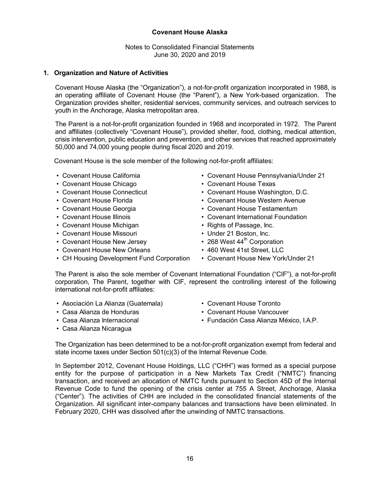Notes to Consolidated Financial Statements June 30, 2020 and 2019

#### **1. Organization and Nature of Activities**

Covenant House Alaska (the "Organization"), a not-for-profit organization incorporated in 1988, is an operating affiliate of Covenant House (the "Parent"), a New York-based organization. The Organization provides shelter, residential services, community services, and outreach services to youth in the Anchorage, Alaska metropolitan area.

The Parent is a not-for-profit organization founded in 1968 and incorporated in 1972. The Parent and affiliates (collectively "Covenant House"), provided shelter, food, clothing, medical attention, crisis intervention, public education and prevention, and other services that reached approximately 50,000 and 74,000 young people during fiscal 2020 and 2019.

Covenant House is the sole member of the following not-for-profit affiliates:

- 
- Covenant House Chicago Covenant House Texas
- 
- 
- 
- 
- Covenant House Michigan **Fights of Passage, Inc.**
- Covenant House Missouri Covenant House Missouri Under 21 Boston, Inc.
- Covenant House New Jersey 268 West 44<sup>th</sup> Corporation
- Covenant House New Orleans 460 West 41st Street, LLC
- 
- Covenant House California Covenant House Pennsylvania/Under 21
	-
- Covenant House Connecticut Covenant House Washington, D.C.
- Covenant House Florida Covenant House Western Avenue
- Covenant House Georgia  **Covenant House Testamentum**
- Covenant House Illinois  **Covenant International Foundation** 
	-
	-
	-
	-
- CH Housing Development Fund Corporation Covenant House New York/Under 21

The Parent is also the sole member of Covenant International Foundation ("CIF"), a not-for-profit corporation, The Parent, together with CIF, represent the controlling interest of the following international not-for-profit affiliates:

- Asociación La Alianza (Guatemala) Covenant House Toronto
- 
- 
- Casa Alianza Nicaragua
- 
- Casa Alianza de Honduras  **Covenant House Vancouver**
- Casa Alianza Internacional Fundación Casa Alianza México, I.A.P.

The Organization has been determined to be a not-for-profit organization exempt from federal and state income taxes under Section 501(c)(3) of the Internal Revenue Code.

 In September 2012, Covenant House Holdings, LLC ("CHH") was formed as a special purpose entity for the purpose of participation in a New Markets Tax Credit ("NMTC") financing transaction, and received an allocation of NMTC funds pursuant to Section 45D of the Internal Revenue Code to fund the opening of the crisis center at 755 A Street, Anchorage, Alaska ("Center"). The activities of CHH are included in the consolidated financial statements of the Organization. All significant inter-company balances and transactions have been eliminated. In February 2020, CHH was dissolved after the unwinding of NMTC transactions.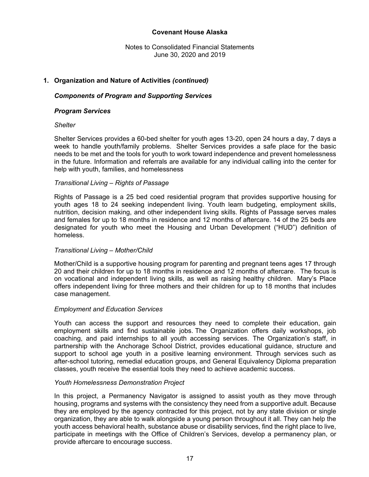Notes to Consolidated Financial Statements June 30, 2020 and 2019

#### **1. Organization and Nature of Activities** *(continued)*

#### *Components of Program and Supporting Services*

#### *Program Services*

#### *Shelter*

Shelter Services provides a 60-bed shelter for youth ages 13-20, open 24 hours a day, 7 days a week to handle youth/family problems. Shelter Services provides a safe place for the basic needs to be met and the tools for youth to work toward independence and prevent homelessness in the future. Information and referrals are available for any individual calling into the center for help with youth, families, and homelessness

#### *Transitional Living – Rights of Passage*

Rights of Passage is a 25 bed coed residential program that provides supportive housing for youth ages 18 to 24 seeking independent living. Youth learn budgeting, employment skills, nutrition, decision making, and other independent living skills. Rights of Passage serves males and females for up to 18 months in residence and 12 months of aftercare. 14 of the 25 beds are designated for youth who meet the Housing and Urban Development ("HUD") definition of homeless.

#### *Transitional Living – Mother/Child*

Mother/Child is a supportive housing program for parenting and pregnant teens ages 17 through 20 and their children for up to 18 months in residence and 12 months of aftercare. The focus is on vocational and independent living skills, as well as raising healthy children. Mary's Place offers independent living for three mothers and their children for up to 18 months that includes case management.

#### *Employment and Education Services*

Youth can access the support and resources they need to complete their education, gain employment skills and find sustainable jobs. The Organization offers daily workshops, job coaching, and paid internships to all youth accessing services. The Organization's staff, in partnership with the Anchorage School District, provides educational guidance, structure and support to school age youth in a positive learning environment. Through services such as after-school tutoring, remedial education groups, and General Equivalency Diploma preparation classes, youth receive the essential tools they need to achieve academic success.

#### *Youth Homelessness Demonstration Project*

In this project, a Permanency Navigator is assigned to assist youth as they move through housing, programs and systems with the consistency they need from a supportive adult. Because they are employed by the agency contracted for this project, not by any state division or single organization, they are able to walk alongside a young person throughout it all. They can help the youth access behavioral health, substance abuse or disability services, find the right place to live, participate in meetings with the Office of Children's Services, develop a permanency plan, or provide aftercare to encourage success.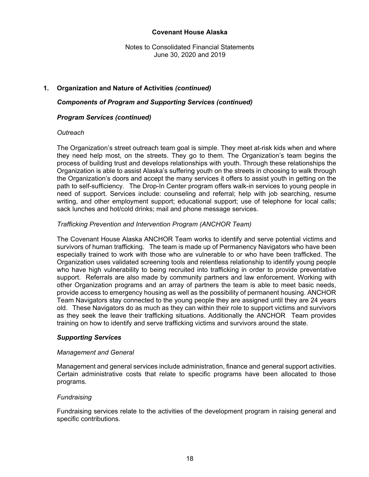Notes to Consolidated Financial Statements June 30, 2020 and 2019

### **1. Organization and Nature of Activities** *(continued)*

#### *Components of Program and Supporting Services (continued)*

#### *Program Services (continued)*

#### *Outreach*

The Organization's street outreach team goal is simple. They meet at-risk kids when and where they need help most, on the streets. They go to them. The Organization's team begins the process of building trust and develops relationships with youth. Through these relationships the Organization is able to assist Alaska's suffering youth on the streets in choosing to walk through the Organization's doors and accept the many services it offers to assist youth in getting on the path to self-sufficiency. The Drop-In Center program offers walk-in services to young people in need of support. Services include: counseling and referral; help with job searching, resume writing, and other employment support; educational support; use of telephone for local calls; sack lunches and hot/cold drinks; mail and phone message services.

#### *Trafficking Prevention and Intervention Program (ANCHOR Team)*

The Covenant House Alaska ANCHOR Team works to identify and serve potential victims and survivors of human trafficking. The team is made up of Permanency Navigators who have been especially trained to work with those who are vulnerable to or who have been trafficked. The Organization uses validated screening tools and relentless relationship to identify young people who have high vulnerability to being recruited into trafficking in order to provide preventative support. Referrals are also made by community partners and law enforcement. Working with other Organization programs and an array of partners the team is able to meet basic needs, provide access to emergency housing as well as the possibility of permanent housing. ANCHOR Team Navigators stay connected to the young people they are assigned until they are 24 years old. These Navigators do as much as they can within their role to support victims and survivors as they seek the leave their trafficking situations. Additionally the ANCHOR Team provides training on how to identify and serve trafficking victims and survivors around the state.

#### *Supporting Services*

#### *Management and General*

Management and general services include administration, finance and general support activities. Certain administrative costs that relate to specific programs have been allocated to those programs.

#### *Fundraising*

Fundraising services relate to the activities of the development program in raising general and specific contributions.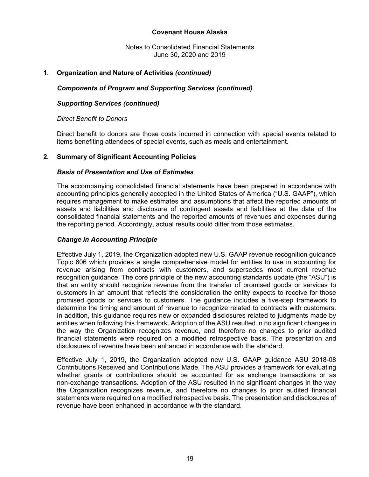Notes to Consolidated Financial Statements June 30, 2020 and 2019

#### **1. Organization and Nature of Activities** *(continued)*

#### *Components of Program and Supporting Services (continued)*

#### *Supporting Services (continued)*

#### *Direct Benefit to Donors*

Direct benefit to donors are those costs incurred in connection with special events related to items benefiting attendees of special events, such as meals and entertainment.

#### **2. Summary of Significant Accounting Policies**

#### *Basis of Presentation and Use of Estimates*

The accompanying consolidated financial statements have been prepared in accordance with accounting principles generally accepted in the United States of America ("U.S. GAAP"), which requires management to make estimates and assumptions that affect the reported amounts of assets and liabilities and disclosure of contingent assets and liabilities at the date of the consolidated financial statements and the reported amounts of revenues and expenses during the reporting period. Accordingly, actual results could differ from those estimates.

#### *Change in Accounting Principle*

Effective July 1, 2019, the Organization adopted new U.S. GAAP revenue recognition guidance Topic 606 which provides a single comprehensive model for entities to use in accounting for revenue arising from contracts with customers, and supersedes most current revenue recognition guidance. The core principle of the new accounting standards update (the "ASU") is that an entity should recognize revenue from the transfer of promised goods or services to customers in an amount that reflects the consideration the entity expects to receive for those promised goods or services to customers. The guidance includes a five-step framework to determine the timing and amount of revenue to recognize related to contracts with customers. In addition, this guidance requires new or expanded disclosures related to judgments made by entities when following this framework. Adoption of the ASU resulted in no significant changes in the way the Organization recognizes revenue, and therefore no changes to prior audited financial statements were required on a modified retrospective basis. The presentation and disclosures of revenue have been enhanced in accordance with the standard.

Effective July 1, 2019, the Organization adopted new U.S. GAAP guidance ASU 2018-08 Contributions Received and Contributions Made. The ASU provides a framework for evaluating whether grants or contributions should be accounted for as exchange transactions or as non-exchange transactions. Adoption of the ASU resulted in no significant changes in the way the Organization recognizes revenue, and therefore no changes to prior audited financial statements were required on a modified retrospective basis. The presentation and disclosures of revenue have been enhanced in accordance with the standard.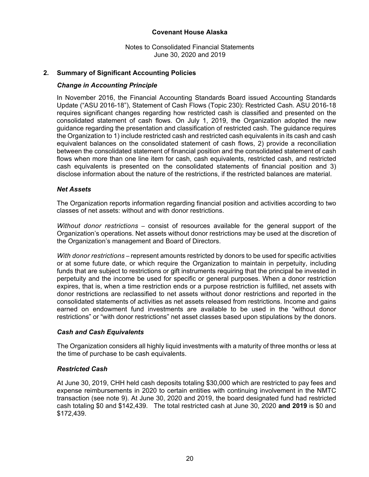Notes to Consolidated Financial Statements June 30, 2020 and 2019

#### **2. Summary of Significant Accounting Policies**

#### *Change in Accounting Principle*

In November 2016, the Financial Accounting Standards Board issued Accounting Standards Update ("ASU 2016-18"), Statement of Cash Flows (Topic 230): Restricted Cash. ASU 2016-18 requires significant changes regarding how restricted cash is classified and presented on the consolidated statement of cash flows. On July 1, 2019, the Organization adopted the new guidance regarding the presentation and classification of restricted cash. The guidance requires the Organization to 1) include restricted cash and restricted cash equivalents in its cash and cash equivalent balances on the consolidated statement of cash flows, 2) provide a reconciliation between the consolidated statement of financial position and the consolidated statement of cash flows when more than one line item for cash, cash equivalents, restricted cash, and restricted cash equivalents is presented on the consolidated statements of financial position and 3) disclose information about the nature of the restrictions, if the restricted balances are material.

#### *Net Assets*

The Organization reports information regarding financial position and activities according to two classes of net assets: without and with donor restrictions.

*Without donor restrictions –* consist of resources available for the general support of the Organization's operations. Net assets without donor restrictions may be used at the discretion of the Organization's management and Board of Directors.

*With donor restrictions –* represent amounts restricted by donors to be used for specific activities or at some future date, or which require the Organization to maintain in perpetuity, including funds that are subject to restrictions or gift instruments requiring that the principal be invested in perpetuity and the income be used for specific or general purposes. When a donor restriction expires, that is, when a time restriction ends or a purpose restriction is fulfilled, net assets with donor restrictions are reclassified to net assets without donor restrictions and reported in the consolidated statements of activities as net assets released from restrictions. Income and gains earned on endowment fund investments are available to be used in the "without donor restrictions" or "with donor restrictions" net asset classes based upon stipulations by the donors.

#### *Cash and Cash Equivalents*

The Organization considers all highly liquid investments with a maturity of three months or less at the time of purchase to be cash equivalents.

#### *Restricted Cash*

At June 30, 2019, CHH held cash deposits totaling \$30,000 which are restricted to pay fees and expense reimbursements in 2020 to certain entities with continuing involvement in the NMTC transaction (see note 9). At June 30, 2020 and 2019, the board designated fund had restricted cash totaling \$0 and \$142,439. The total restricted cash at June 30, 2020 **and 2019** is \$0 and \$172,439.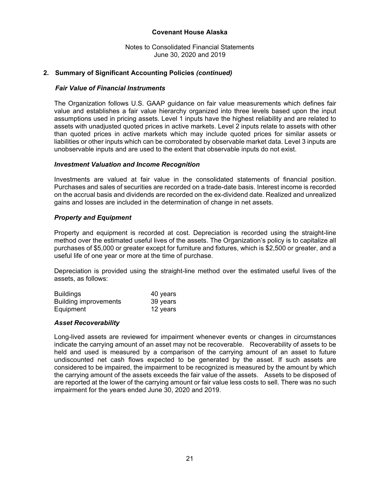Notes to Consolidated Financial Statements June 30, 2020 and 2019

#### **2. Summary of Significant Accounting Policies** *(continued)*

#### *Fair Value of Financial Instruments*

 The Organization follows U.S. GAAP guidance on fair value measurements which defines fair value and establishes a fair value hierarchy organized into three levels based upon the input assumptions used in pricing assets. Level 1 inputs have the highest reliability and are related to assets with unadjusted quoted prices in active markets. Level 2 inputs relate to assets with other than quoted prices in active markets which may include quoted prices for similar assets or liabilities or other inputs which can be corroborated by observable market data. Level 3 inputs are unobservable inputs and are used to the extent that observable inputs do not exist.

#### *Investment Valuation and Income Recognition*

Investments are valued at fair value in the consolidated statements of financial position. Purchases and sales of securities are recorded on a trade-date basis. Interest income is recorded on the accrual basis and dividends are recorded on the ex-dividend date. Realized and unrealized gains and losses are included in the determination of change in net assets.

#### *Property and Equipment*

Property and equipment is recorded at cost. Depreciation is recorded using the straight-line method over the estimated useful lives of the assets. The Organization's policy is to capitalize all purchases of \$5,000 or greater except for furniture and fixtures, which is \$2,500 or greater, and a useful life of one year or more at the time of purchase.

Depreciation is provided using the straight-line method over the estimated useful lives of the assets, as follows:

| <b>Buildings</b>             | 40 years |
|------------------------------|----------|
| <b>Building improvements</b> | 39 years |
| Equipment                    | 12 years |

#### *Asset Recoverability*

Long-lived assets are reviewed for impairment whenever events or changes in circumstances indicate the carrying amount of an asset may not be recoverable. Recoverability of assets to be held and used is measured by a comparison of the carrying amount of an asset to future undiscounted net cash flows expected to be generated by the asset. If such assets are considered to be impaired, the impairment to be recognized is measured by the amount by which the carrying amount of the assets exceeds the fair value of the assets. Assets to be disposed of are reported at the lower of the carrying amount or fair value less costs to sell. There was no such impairment for the years ended June 30, 2020 and 2019.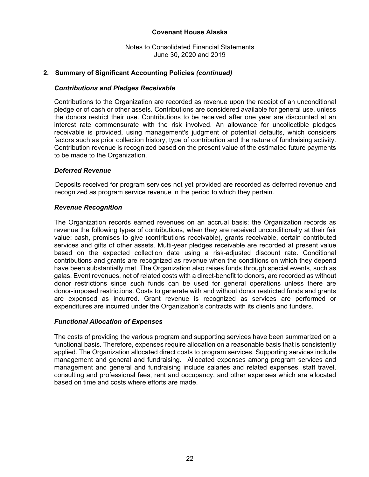Notes to Consolidated Financial Statements June 30, 2020 and 2019

#### **2. Summary of Significant Accounting Policies** *(continued)*

#### *Contributions and Pledges Receivable*

Contributions to the Organization are recorded as revenue upon the receipt of an unconditional pledge or of cash or other assets. Contributions are considered available for general use, unless the donors restrict their use. Contributions to be received after one year are discounted at an interest rate commensurate with the risk involved. An allowance for uncollectible pledges receivable is provided, using management's judgment of potential defaults, which considers factors such as prior collection history, type of contribution and the nature of fundraising activity. Contribution revenue is recognized based on the present value of the estimated future payments to be made to the Organization.

#### *Deferred Revenue*

Deposits received for program services not yet provided are recorded as deferred revenue and recognized as program service revenue in the period to which they pertain.

#### *Revenue Recognition*

The Organization records earned revenues on an accrual basis; the Organization records as revenue the following types of contributions, when they are received unconditionally at their fair value: cash, promises to give (contributions receivable), grants receivable, certain contributed services and gifts of other assets. Multi-year pledges receivable are recorded at present value based on the expected collection date using a risk-adjusted discount rate. Conditional contributions and grants are recognized as revenue when the conditions on which they depend have been substantially met. The Organization also raises funds through special events, such as galas. Event revenues, net of related costs with a direct-benefit to donors, are recorded as without donor restrictions since such funds can be used for general operations unless there are donor-imposed restrictions. Costs to generate with and without donor restricted funds and grants are expensed as incurred. Grant revenue is recognized as services are performed or expenditures are incurred under the Organization's contracts with its clients and funders.

#### *Functional Allocation of Expenses*

The costs of providing the various program and supporting services have been summarized on a functional basis. Therefore, expenses require allocation on a reasonable basis that is consistently applied. The Organization allocated direct costs to program services. Supporting services include management and general and fundraising. Allocated expenses among program services and management and general and fundraising include salaries and related expenses, staff travel, consulting and professional fees, rent and occupancy, and other expenses which are allocated based on time and costs where efforts are made.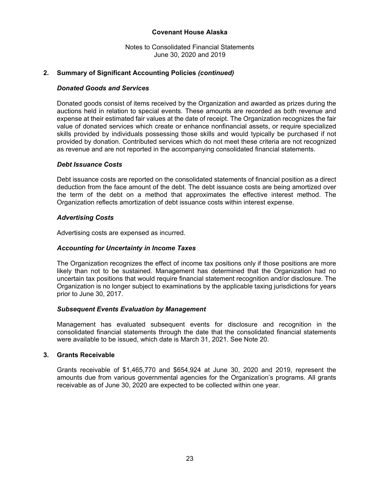Notes to Consolidated Financial Statements June 30, 2020 and 2019

#### **2. Summary of Significant Accounting Policies** *(continued)*

#### *Donated Goods and Services*

Donated goods consist of items received by the Organization and awarded as prizes during the auctions held in relation to special events. These amounts are recorded as both revenue and expense at their estimated fair values at the date of receipt. The Organization recognizes the fair value of donated services which create or enhance nonfinancial assets, or require specialized skills provided by individuals possessing those skills and would typically be purchased if not provided by donation. Contributed services which do not meet these criteria are not recognized as revenue and are not reported in the accompanying consolidated financial statements.

#### *Debt Issuance Costs*

Debt issuance costs are reported on the consolidated statements of financial position as a direct deduction from the face amount of the debt. The debt issuance costs are being amortized over the term of the debt on a method that approximates the effective interest method. The Organization reflects amortization of debt issuance costs within interest expense.

#### *Advertising Costs*

Advertising costs are expensed as incurred.

#### *Accounting for Uncertainty in Income Taxes*

The Organization recognizes the effect of income tax positions only if those positions are more likely than not to be sustained. Management has determined that the Organization had no uncertain tax positions that would require financial statement recognition and/or disclosure. The Organization is no longer subject to examinations by the applicable taxing jurisdictions for years prior to June 30, 2017.

#### *Subsequent Events Evaluation by Management*

Management has evaluated subsequent events for disclosure and recognition in the consolidated financial statements through the date that the consolidated financial statements were available to be issued, which date is March 31, 2021. See Note 20.

#### **3. Grants Receivable**

 Grants receivable of \$1,465,770 and \$654,924 at June 30, 2020 and 2019, represent the amounts due from various governmental agencies for the Organization's programs. All grants receivable as of June 30, 2020 are expected to be collected within one year.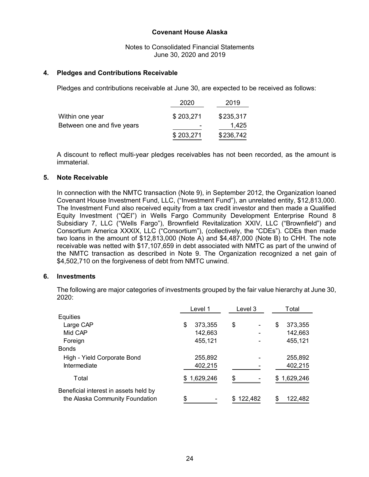Notes to Consolidated Financial Statements June 30, 2020 and 2019

#### **4. Pledges and Contributions Receivable**

Pledges and contributions receivable at June 30, are expected to be received as follows:

|                            | 2020      | 2019      |
|----------------------------|-----------|-----------|
| Within one year            | \$203,271 | \$235,317 |
| Between one and five years |           | 1,425     |
|                            | \$203,271 | \$236,742 |

A discount to reflect multi-year pledges receivables has not been recorded, as the amount is immaterial.

#### **5. Note Receivable**

In connection with the NMTC transaction (Note 9), in September 2012, the Organization loaned Covenant House Investment Fund, LLC, ("Investment Fund"), an unrelated entity, \$12,813,000. The Investment Fund also received equity from a tax credit investor and then made a Qualified Equity Investment ("QEI") in Wells Fargo Community Development Enterprise Round 8 Subsidiary 7, LLC ("Wells Fargo"), Brownfield Revitalization XXIV, LLC ("Brownfield") and Consortium America XXXIX, LLC ("Consortium"), (collectively, the "CDEs"). CDEs then made two loans in the amount of \$12,813,000 (Note A) and \$4,487,000 (Note B) to CHH. The note receivable was netted with \$17,107,659 in debt associated with NMTC as part of the unwind of the NMTC transaction as described in Note 9. The Organization recognized a net gain of \$4,502,710 on the forgiveness of debt from NMTC unwind.

#### **6. Investments**

The following are major categories of investments grouped by the fair value hierarchy at June 30, 2020:

|                                       | Level 1          | Level 3 | Total          |  |  |
|---------------------------------------|------------------|---------|----------------|--|--|
| Equities                              |                  |         |                |  |  |
| Large CAP                             | \$<br>373,355    | \$      | \$<br>373,355  |  |  |
| Mid CAP                               | 142,663          |         | 142,663        |  |  |
| Foreign                               | 455,121          |         | 455,121        |  |  |
| <b>Bonds</b>                          |                  |         |                |  |  |
| High - Yield Corporate Bond           | 255,892          |         | 255,892        |  |  |
| Intermediate                          | 402,215          |         | 402,215        |  |  |
| Total                                 | 1,629,246<br>\$. | \$      | 1,629,246<br>S |  |  |
| Beneficial interest in assets held by |                  |         |                |  |  |
| the Alaska Community Foundation       | \$               | 122,482 | \$<br>122,482  |  |  |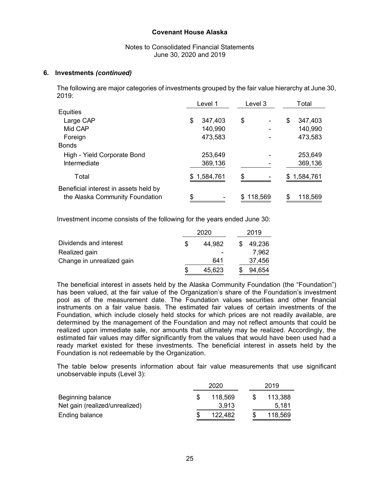#### Notes to Consolidated Financial Statements June 30, 2020 and 2019

#### **6. Investments** *(continued)*

The following are major categories of investments grouped by the fair value hierarchy at June 30, 2019:

|                                       | Level 1       | Level 3 | Total         |
|---------------------------------------|---------------|---------|---------------|
| Equities                              |               |         |               |
| Large CAP                             | 347,403<br>\$ | \$      | 347,403<br>\$ |
| Mid CAP                               | 140,990       |         | 140,990       |
| Foreign                               | 473,583       |         | 473,583       |
| <b>Bonds</b>                          |               |         |               |
| High - Yield Corporate Bond           | 253,649       |         | 253,649       |
| Intermediate                          | 369,136       |         | 369,136       |
| Total                                 | 1,584,761     | \$      | 1,584,761     |
| Beneficial interest in assets held by |               |         |               |
| the Alaska Community Foundation       | \$            | 118,569 | 118,569       |

Investment income consists of the following for the years ended June 30:

|                           | 2020   |  | 2019   |
|---------------------------|--------|--|--------|
| Dividends and interest    | 44.982 |  | 49,236 |
| Realized gain             |        |  | 7,962  |
| Change in unrealized gain | 641    |  | 37,456 |
|                           | 45,623 |  | 94,654 |

The beneficial interest in assets held by the Alaska Community Foundation (the "Foundation") has been valued, at the fair value of the Organization's share of the Foundation's investment pool as of the measurement date. The Foundation values securities and other financial instruments on a fair value basis. The estimated fair values of certain investments of the Foundation, which include closely held stocks for which prices are not readily available, are determined by the management of the Foundation and may not reflect amounts that could be realized upon immediate sale, nor amounts that ultimately may be realized. Accordingly, the estimated fair values may differ significantly from the values that would have been used had a ready market existed for these investments. The beneficial interest in assets held by the Foundation is not redeemable by the Organization.

The table below presents information about fair value measurements that use significant unobservable inputs (Level 3):

|                                | 2020    | 2019    |
|--------------------------------|---------|---------|
| Beginning balance              | 118.569 | 113,388 |
| Net gain (realized/unrealized) | 3.913   | 5.181   |
| Ending balance                 | 122,482 | 118,569 |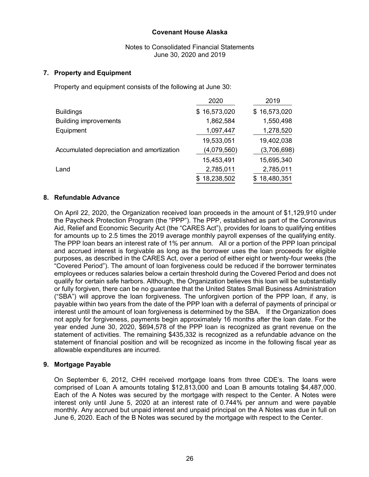Notes to Consolidated Financial Statements June 30, 2020 and 2019

#### **7. Property and Equipment**

Property and equipment consists of the following at June 30:

|                                           | 2020         | 2019         |
|-------------------------------------------|--------------|--------------|
| <b>Buildings</b>                          | \$16,573,020 | \$16,573,020 |
| <b>Building improvements</b>              | 1,862,584    | 1,550,498    |
| Equipment                                 | 1,097,447    | 1,278,520    |
|                                           | 19,533,051   | 19,402,038   |
| Accumulated depreciation and amortization | (4,079,560)  | (3,706,698)  |
|                                           | 15,453,491   | 15,695,340   |
| Land                                      | 2,785,011    | 2,785,011    |
|                                           | 18,238,502   | 18,480,351   |

#### **8. Refundable Advance**

On April 22, 2020, the Organization received loan proceeds in the amount of \$1,129,910 under the Paycheck Protection Program (the "PPP"). The PPP, established as part of the Coronavirus Aid, Relief and Economic Security Act (the "CARES Act"), provides for loans to qualifying entities for amounts up to 2.5 times the 2019 average monthly payroll expenses of the qualifying entity. The PPP loan bears an interest rate of 1% per annum. All or a portion of the PPP loan principal and accrued interest is forgivable as long as the borrower uses the loan proceeds for eligible purposes, as described in the CARES Act, over a period of either eight or twenty-four weeks (the "Covered Period"). The amount of loan forgiveness could be reduced if the borrower terminates employees or reduces salaries below a certain threshold during the Covered Period and does not qualify for certain safe harbors. Although, the Organization believes this loan will be substantially or fully forgiven, there can be no guarantee that the United States Small Business Administration ("SBA") will approve the loan forgiveness. The unforgiven portion of the PPP loan, if any, is payable within two years from the date of the PPP loan with a deferral of payments of principal or interest until the amount of loan forgiveness is determined by the SBA. If the Organization does not apply for forgiveness, payments begin approximately 16 months after the loan date. For the year ended June 30, 2020, \$694,578 of the PPP loan is recognized as grant revenue on the statement of activities. The remaining \$435,332 is recognized as a refundable advance on the statement of financial position and will be recognized as income in the following fiscal year as allowable expenditures are incurred.

#### **9. Mortgage Payable**

On September 6, 2012, CHH received mortgage loans from three CDE's. The loans were comprised of Loan A amounts totaling \$12,813,000 and Loan B amounts totaling \$4,487,000. Each of the A Notes was secured by the mortgage with respect to the Center. A Notes were interest only until June 5, 2020 at an interest rate of 0.744% per annum and were payable monthly. Any accrued but unpaid interest and unpaid principal on the A Notes was due in full on June 6, 2020. Each of the B Notes was secured by the mortgage with respect to the Center.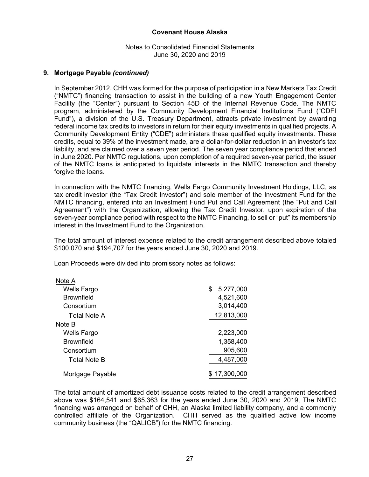#### Notes to Consolidated Financial Statements June 30, 2020 and 2019

#### **9. Mortgage Payable** *(continued)*

In September 2012, CHH was formed for the purpose of participation in a New Markets Tax Credit ("NMTC") financing transaction to assist in the building of a new Youth Engagement Center Facility (the "Center") pursuant to Section 45D of the Internal Revenue Code. The NMTC program, administered by the Community Development Financial Institutions Fund ("CDFI Fund"), a division of the U.S. Treasury Department, attracts private investment by awarding federal income tax credits to investors in return for their equity investments in qualified projects. A Community Development Entity ("CDE") administers these qualified equity investments. These credits, equal to 39% of the investment made, are a dollar-for-dollar reduction in an investor's tax liability, and are claimed over a seven year period. The seven year compliance period that ended in June 2020. Per NMTC regulations, upon completion of a required seven-year period, the issuer of the NMTC loans is anticipated to liquidate interests in the NMTC transaction and thereby forgive the loans.

In connection with the NMTC financing, Wells Fargo Community Investment Holdings, LLC, as tax credit investor (the "Tax Credit Investor") and sole member of the Investment Fund for the NMTC financing, entered into an Investment Fund Put and Call Agreement (the "Put and Call Agreement") with the Organization, allowing the Tax Credit Investor, upon expiration of the seven-year compliance period with respect to the NMTC Financing, to sell or "put" its membership interest in the Investment Fund to the Organization.

The total amount of interest expense related to the credit arrangement described above totaled \$100,070 and \$194,707 for the years ended June 30, 2020 and 2019.

Loan Proceeds were divided into promissory notes as follows:

| Note A             |                 |
|--------------------|-----------------|
| <b>Wells Fargo</b> | \$<br>5,277,000 |
| <b>Brownfield</b>  | 4,521,600       |
| Consortium         | 3,014,400       |
| Total Note A       | 12,813,000      |
| Note B             |                 |
| Wells Fargo        | 2,223,000       |
| <b>Brownfield</b>  | 1,358,400       |
| Consortium         | 905,600         |
| Total Note B       | 4,487,000       |
| Mortgage Payable   | 17,300,000      |

The total amount of amortized debt issuance costs related to the credit arrangement described above was \$164,541 and \$65,363 for the years ended June 30, 2020 and 2019, The NMTC financing was arranged on behalf of CHH, an Alaska limited liability company, and a commonly controlled affiliate of the Organization. CHH served as the qualified active low income community business (the "QALICB") for the NMTC financing.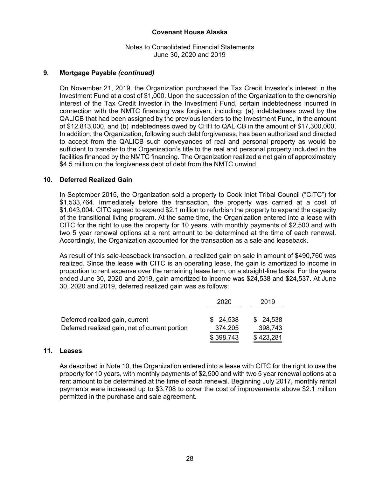#### Notes to Consolidated Financial Statements June 30, 2020 and 2019

#### **9. Mortgage Payable** *(continued)*

On November 21, 2019, the Organization purchased the Tax Credit Investor's interest in the Investment Fund at a cost of \$1,000. Upon the succession of the Organization to the ownership interest of the Tax Credit Investor in the Investment Fund, certain indebtedness incurred in connection with the NMTC financing was forgiven, including: (a) indebtedness owed by the QALICB that had been assigned by the previous lenders to the Investment Fund, in the amount of \$12,813,000, and (b) indebtedness owed by CHH to QALICB in the amount of \$17,300,000. In addition, the Organization, following such debt forgiveness, has been authorized and directed to accept from the QALICB such conveyances of real and personal property as would be sufficient to transfer to the Organization's title to the real and personal property included in the facilities financed by the NMTC financing. The Organization realized a net gain of approximately \$4.5 million on the forgiveness debt of debt from the NMTC unwind.

#### **10. Deferred Realized Gain**

In September 2015, the Organization sold a property to Cook Inlet Tribal Council ("CITC") for \$1,533,764. Immediately before the transaction, the property was carried at a cost of \$1,043,004. CITC agreed to expend \$2.1 million to refurbish the property to expand the capacity of the transitional living program. At the same time, the Organization entered into a lease with CITC for the right to use the property for 10 years, with monthly payments of \$2,500 and with two 5 year renewal options at a rent amount to be determined at the time of each renewal. Accordingly, the Organization accounted for the transaction as a sale and leaseback.

As result of this sale-leaseback transaction, a realized gain on sale in amount of \$490,760 was realized. Since the lease with CITC is an operating lease, the gain is amortized to income in proportion to rent expense over the remaining lease term, on a straight-line basis. For the years ended June 30, 2020 and 2019, gain amortized to income was \$24,538 and \$24,537. At June 30, 2020 and 2019, deferred realized gain was as follows:

|                                                | 2020      | 2019      |
|------------------------------------------------|-----------|-----------|
| Deferred realized gain, current                | \$24,538  | \$24,538  |
| Deferred realized gain, net of current portion | 374,205   | 398,743   |
|                                                | \$398,743 | \$423,281 |

#### **11. Leases**

As described in Note 10, the Organization entered into a lease with CITC for the right to use the property for 10 years, with monthly payments of \$2,500 and with two 5 year renewal options at a rent amount to be determined at the time of each renewal. Beginning July 2017, monthly rental payments were increased up to \$3,708 to cover the cost of improvements above \$2.1 million permitted in the purchase and sale agreement.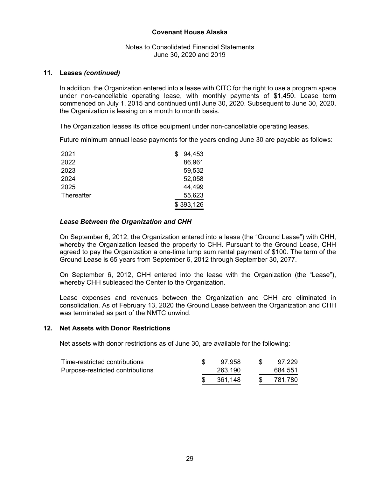#### Notes to Consolidated Financial Statements June 30, 2020 and 2019

#### **11. Leases** *(continued)*

In addition, the Organization entered into a lease with CITC for the right to use a program space under non-cancellable operating lease, with monthly payments of \$1,450. Lease term commenced on July 1, 2015 and continued until June 30, 2020. Subsequent to June 30, 2020, the Organization is leasing on a month to month basis.

The Organization leases its office equipment under non-cancellable operating leases.

Future minimum annual lease payments for the years ending June 30 are payable as follows:

| 2021       | 94,453    |
|------------|-----------|
| 2022       | 86,961    |
| 2023       | 59,532    |
| 2024       | 52,058    |
| 2025       | 44,499    |
| Thereafter | 55,623    |
|            | \$393,126 |

#### *Lease Between the Organization and CHH*

On September 6, 2012, the Organization entered into a lease (the "Ground Lease") with CHH, whereby the Organization leased the property to CHH. Pursuant to the Ground Lease, CHH agreed to pay the Organization a one-time lump sum rental payment of \$100. The term of the Ground Lease is 65 years from September 6, 2012 through September 30, 2077.

On September 6, 2012, CHH entered into the lease with the Organization (the "Lease"), whereby CHH subleased the Center to the Organization.

Lease expenses and revenues between the Organization and CHH are eliminated in consolidation. As of February 13, 2020 the Ground Lease between the Organization and CHH was terminated as part of the NMTC unwind.

#### **12. Net Assets with Donor Restrictions**

Net assets with donor restrictions as of June 30, are available for the following:

| Time-restricted contributions    | 97.958  | 97,229  |
|----------------------------------|---------|---------|
| Purpose-restricted contributions | 263,190 | 684,551 |
|                                  | 361.148 | 781.780 |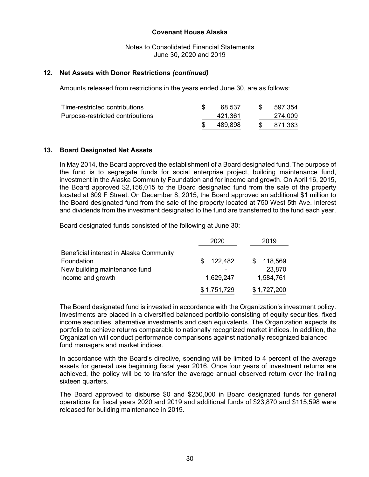Notes to Consolidated Financial Statements June 30, 2020 and 2019

#### **12. Net Assets with Donor Restrictions** *(continued)*

Amounts released from restrictions in the years ended June 30, are as follows:

|                                  | 489.898 | -SS | 871,363 |
|----------------------------------|---------|-----|---------|
| Purpose-restricted contributions | 421.361 |     | 274.009 |
| Time-restricted contributions    | 68.537  | S.  | 597,354 |

#### **13. Board Designated Net Assets**

In May 2014, the Board approved the establishment of a Board designated fund. The purpose of the fund is to segregate funds for social enterprise project, building maintenance fund, investment in the Alaska Community Foundation and for income and growth. On April 16, 2015, the Board approved \$2,156,015 to the Board designated fund from the sale of the property located at 609 F Street. On December 8, 2015, the Board approved an additional \$1 million to the Board designated fund from the sale of the property located at 750 West 5th Ave. Interest and dividends from the investment designated to the fund are transferred to the fund each year.

Board designated funds consisted of the following at June 30:

|                                         | 2020          | 2019           |
|-----------------------------------------|---------------|----------------|
| Beneficial interest in Alaska Community |               |                |
| Foundation                              | 122,482<br>S. | 118,569<br>\$. |
| New building maintenance fund           |               | 23,870         |
| Income and growth                       | 1,629,247     | 1,584,761      |
|                                         | \$1,751,729   | \$1,727,200    |

The Board designated fund is invested in accordance with the Organization's investment policy. Investments are placed in a diversified balanced portfolio consisting of equity securities, fixed income securities, alternative investments and cash equivalents. The Organization expects its portfolio to achieve returns comparable to nationally recognized market indices. In addition, the Organization will conduct performance comparisons against nationally recognized balanced fund managers and market indices.

In accordance with the Board's directive, spending will be limited to 4 percent of the average assets for general use beginning fiscal year 2016. Once four years of investment returns are achieved, the policy will be to transfer the average annual observed return over the trailing sixteen quarters.

The Board approved to disburse \$0 and \$250,000 in Board designated funds for general operations for fiscal years 2020 and 2019 and additional funds of \$23,870 and \$115,598 were released for building maintenance in 2019.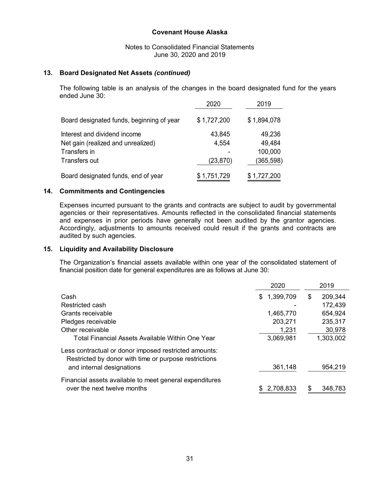Notes to Consolidated Financial Statements June 30, 2020 and 2019

#### **13. Board Designated Net Assets** *(continued)*

The following table is an analysis of the changes in the board designated fund for the years ended June 30:

|                                           | 2020        | 2019        |
|-------------------------------------------|-------------|-------------|
| Board designated funds, beginning of year | \$1,727,200 | \$1,894,078 |
| Interest and dividend income              | 43,845      | 49,236      |
| Net gain (realized and unrealized)        | 4,554       | 49,484      |
| Transfers in                              |             | 100,000     |
| Transfers out                             | (23, 870)   | (365,598)   |
| Board designated funds, end of year       | \$1,751,729 | \$1,727,200 |

#### **14. Commitments and Contingencies**

Expenses incurred pursuant to the grants and contracts are subject to audit by governmental agencies or their representatives. Amounts reflected in the consolidated financial statements and expenses in prior periods have generally not been audited by the grantor agencies. Accordingly, adjustments to amounts received could result if the grants and contracts are audited by such agencies.

#### **15. Liquidity and Availability Disclosure**

The Organization's financial assets available within one year of the consolidated statement of financial position date for general expenditures are as follows at June 30:

|                                                                                                                | 2020             | 2019          |
|----------------------------------------------------------------------------------------------------------------|------------------|---------------|
| Cash                                                                                                           | 1,399,709<br>\$. | 209,344<br>\$ |
| Restricted cash                                                                                                |                  | 172,439       |
| Grants receivable                                                                                              | 1,465,770        | 654,924       |
| Pledges receivable                                                                                             | 203,271          | 235,317       |
| Other receivable                                                                                               | 1,231            | 30,978        |
| Total Financial Assets Available Within One Year                                                               | 3,069,981        | 1,303,002     |
| Less contractual or donor imposed restricted amounts:<br>Restricted by donor with time or purpose restrictions |                  |               |
| and internal designations                                                                                      | 361,148          | 954,219       |
| Financial assets available to meet general expenditures                                                        |                  |               |
| over the next twelve months                                                                                    | 2,708,833        | 348,783<br>S  |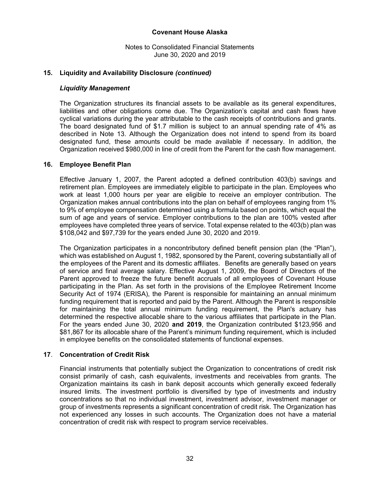Notes to Consolidated Financial Statements June 30, 2020 and 2019

#### **15. Liquidity and Availability Disclosure** *(continued)*

#### *Liquidity Management*

The Organization structures its financial assets to be available as its general expenditures, liabilities and other obligations come due. The Organization's capital and cash flows have cyclical variations during the year attributable to the cash receipts of contributions and grants. The board designated fund of \$1.7 million is subject to an annual spending rate of 4% as described in Note 13. Although the Organization does not intend to spend from its board designated fund, these amounts could be made available if necessary. In addition, the Organization received \$980,000 in line of credit from the Parent for the cash flow management.

#### **16. Employee Benefit Plan**

Effective January 1, 2007, the Parent adopted a defined contribution 403(b) savings and retirement plan. Employees are immediately eligible to participate in the plan. Employees who work at least 1,000 hours per year are eligible to receive an employer contribution. The Organization makes annual contributions into the plan on behalf of employees ranging from 1% to 9% of employee compensation determined using a formula based on points, which equal the sum of age and years of service. Employer contributions to the plan are 100% vested after employees have completed three years of service. Total expense related to the 403(b) plan was \$108,042 and \$97,739 for the years ended June 30, 2020 and 2019.

The Organization participates in a noncontributory defined benefit pension plan (the "Plan"), which was established on August 1, 1982, sponsored by the Parent, covering substantially all of the employees of the Parent and its domestic affiliates. Benefits are generally based on years of service and final average salary. Effective August 1, 2009, the Board of Directors of the Parent approved to freeze the future benefit accruals of all employees of Covenant House participating in the Plan. As set forth in the provisions of the Employee Retirement Income Security Act of 1974 (ERISA), the Parent is responsible for maintaining an annual minimum funding requirement that is reported and paid by the Parent. Although the Parent is responsible for maintaining the total annual minimum funding requirement, the Plan's actuary has determined the respective allocable share to the various affiliates that participate in the Plan. For the years ended June 30, 2020 **and 2019**, the Organization contributed \$123,956 and \$81,867 for its allocable share of the Parent's minimum funding requirement, which is included in employee benefits on the consolidated statements of functional expenses.

#### **17**. **Concentration of Credit Risk**

Financial instruments that potentially subject the Organization to concentrations of credit risk consist primarily of cash, cash equivalents, investments and receivables from grants. The Organization maintains its cash in bank deposit accounts which generally exceed federally insured limits. The investment portfolio is diversified by type of investments and industry concentrations so that no individual investment, investment advisor, investment manager or group of investments represents a significant concentration of credit risk. The Organization has not experienced any losses in such accounts. The Organization does not have a material concentration of credit risk with respect to program service receivables.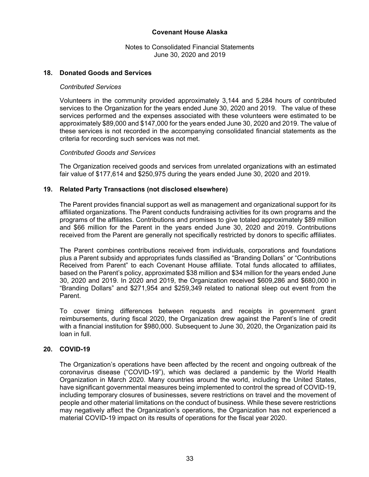Notes to Consolidated Financial Statements June 30, 2020 and 2019

#### **18. Donated Goods and Services**

#### *Contributed Services*

Volunteers in the community provided approximately 3,144 and 5,284 hours of contributed services to the Organization for the years ended June 30, 2020 and 2019. The value of these services performed and the expenses associated with these volunteers were estimated to be approximately \$89,000 and \$147,000 for the years ended June 30, 2020 and 2019. The value of these services is not recorded in the accompanying consolidated financial statements as the criteria for recording such services was not met.

#### *Contributed Goods and Services*

The Organization received goods and services from unrelated organizations with an estimated fair value of \$177,614 and \$250,975 during the years ended June 30, 2020 and 2019.

#### **19. Related Party Transactions (not disclosed elsewhere)**

The Parent provides financial support as well as management and organizational support for its affiliated organizations. The Parent conducts fundraising activities for its own programs and the programs of the affiliates. Contributions and promises to give totaled approximately \$89 million and \$66 million for the Parent in the years ended June 30, 2020 and 2019. Contributions received from the Parent are generally not specifically restricted by donors to specific affiliates.

The Parent combines contributions received from individuals, corporations and foundations plus a Parent subsidy and appropriates funds classified as "Branding Dollars" or "Contributions Received from Parent" to each Covenant House affiliate. Total funds allocated to affiliates, based on the Parent's policy, approximated \$38 million and \$34 million for the years ended June 30, 2020 and 2019. In 2020 and 2019, the Organization received \$609,286 and \$680,000 in "Branding Dollars" and \$271,954 and \$259,349 related to national sleep out event from the Parent.

To cover timing differences between requests and receipts in government grant reimbursements, during fiscal 2020, the Organization drew against the Parent's line of credit with a financial institution for \$980,000. Subsequent to June 30, 2020, the Organization paid its loan in full.

#### **20. COVID-19**

The Organization's operations have been affected by the recent and ongoing outbreak of the coronavirus disease ("COVID-19"), which was declared a pandemic by the World Health Organization in March 2020. Many countries around the world, including the United States, have significant governmental measures being implemented to control the spread of COVID-19, including temporary closures of businesses, severe restrictions on travel and the movement of people and other material limitations on the conduct of business. While these severe restrictions may negatively affect the Organization's operations, the Organization has not experienced a material COVID-19 impact on its results of operations for the fiscal year 2020.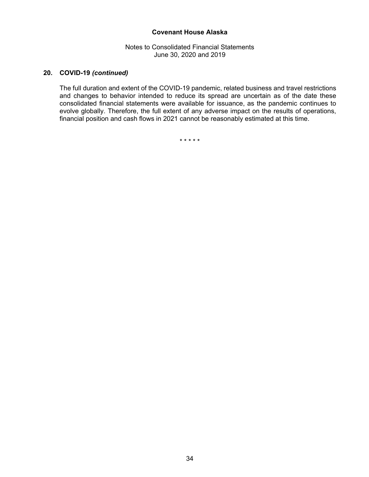Notes to Consolidated Financial Statements June 30, 2020 and 2019

#### **20. COVID-19** *(continued)*

The full duration and extent of the COVID-19 pandemic, related business and travel restrictions and changes to behavior intended to reduce its spread are uncertain as of the date these consolidated financial statements were available for issuance, as the pandemic continues to evolve globally. Therefore, the full extent of any adverse impact on the results of operations, financial position and cash flows in 2021 cannot be reasonably estimated at this time.

\* \* \* \* \*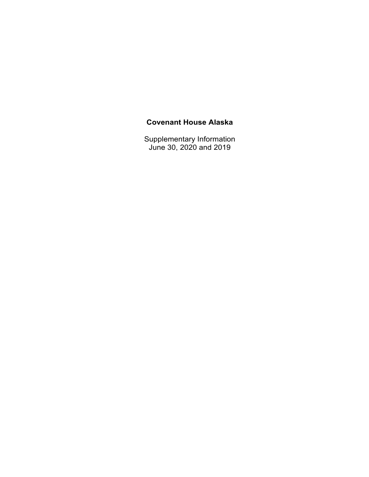Supplementary Information June 30, 2020 and 2019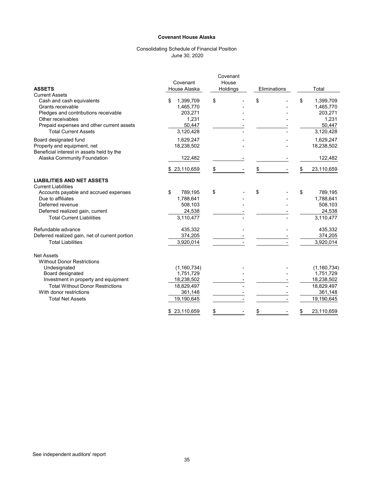#### Consolidating Schedule of Financial Position June 30, 2020

|                                                                          | Covenant              | Covenant<br>House |              |                       |
|--------------------------------------------------------------------------|-----------------------|-------------------|--------------|-----------------------|
| <b>ASSETS</b>                                                            | House Alaska          | Holdings          | Eliminations | Total                 |
| <b>Current Assets</b>                                                    |                       |                   |              |                       |
| Cash and cash equivalents                                                | 1,399,709<br>\$       | \$                | \$           | \$<br>1,399,709       |
| Grants receivable                                                        | 1,465,770             |                   |              | 1,465,770             |
| Pledges and contributions receivable                                     | 203,271               |                   |              | 203,271               |
| Other receivables                                                        | 1,231                 |                   |              | 1,231                 |
| Prepaid expenses and other current assets                                | 50,447                |                   |              | 50,447                |
| <b>Total Current Assets</b>                                              | 3,120,428             |                   |              | 3,120,428             |
| Board designated fund                                                    | 1,629,247             |                   |              | 1,629,247             |
| Property and equipment, net<br>Beneficial interest in assets held by the | 18,238,502            |                   |              | 18,238,502            |
| Alaska Community Foundation                                              | 122,482               |                   |              | 122,482               |
|                                                                          | \$23,110,659          | \$                |              | 23,110,659            |
| <b>LIABILITIES AND NET ASSETS</b><br><b>Current Liabilities</b>          |                       |                   |              |                       |
| Accounts payable and accrued expenses                                    | \$<br>789,195         | \$                | \$           | \$<br>789,195         |
| Due to affiliates                                                        | 1,788,641             |                   |              | 1,788,641             |
| Deferred revenue                                                         | 508,103               |                   |              | 508,103               |
| Deferred realized gain, current                                          | 24,538                |                   |              | 24,538                |
| <b>Total Current Liabilities</b>                                         | 3,110,477             |                   |              | 3,110,477             |
| Refundable advance                                                       | 435,332               |                   |              | 435,332               |
| Deferred realized gain, net of current portion                           | 374,205               |                   |              | 374,205               |
| <b>Total Liabilities</b>                                                 | 3,920,014             |                   |              | 3,920,014             |
| <b>Net Assets</b><br><b>Without Donor Restrictions</b>                   |                       |                   |              |                       |
| Undesignated                                                             | (1, 160, 734)         |                   |              | (1, 160, 734)         |
| Board designated                                                         | 1,751,729             |                   |              | 1,751,729             |
| Investment in property and equipment                                     | 18,238,502            |                   |              | 18,238,502            |
| <b>Total Without Donor Restrictions</b><br>With donor restrictions       | 18,829,497            |                   |              | 18,829,497            |
| <b>Total Net Assets</b>                                                  | 361,148<br>19,190,645 |                   |              | 361,148<br>19,190,645 |
|                                                                          |                       |                   |              |                       |
|                                                                          | 23,110,659<br>\$      | \$                |              | 23,110,659<br>\$      |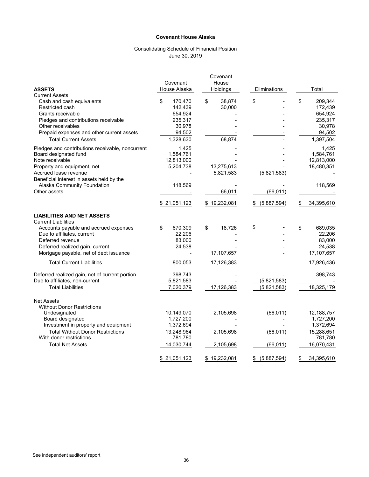#### Consolidating Schedule of Financial Position June 30, 2019

|                                                  |               | Covenant     |                   |                  |
|--------------------------------------------------|---------------|--------------|-------------------|------------------|
|                                                  | Covenant      | House        |                   |                  |
| <b>ASSETS</b>                                    | House Alaska  | Holdings     | Eliminations      | Total            |
| <b>Current Assets</b>                            |               |              |                   |                  |
| Cash and cash equivalents                        | \$<br>170,470 | \$<br>38,874 | \$                | \$<br>209,344    |
| Restricted cash                                  | 142,439       | 30,000       |                   | 172,439          |
| Grants receivable                                | 654,924       |              |                   | 654,924          |
| Pledges and contributions receivable             | 235,317       |              |                   | 235,317          |
| Other receivables                                | 30,978        |              |                   | 30,978           |
| Prepaid expenses and other current assets        | 94,502        |              |                   | 94,502           |
| <b>Total Current Assets</b>                      | 1,328,630     | 68,874       |                   | 1,397,504        |
| Pledges and contributions receivable, noncurrent | 1,425         |              |                   | 1,425            |
| Board designated fund                            | 1,584,761     |              |                   | 1,584,761        |
| Note receivable                                  | 12,813,000    |              |                   | 12,813,000       |
| Property and equipment, net                      | 5,204,738     | 13,275,613   |                   | 18,480,351       |
| Accrued lease revenue                            |               | 5,821,583    | (5,821,583)       |                  |
| Beneficial interest in assets held by the        |               |              |                   |                  |
| Alaska Community Foundation                      | 118,569       |              |                   | 118,569          |
| Other assets                                     |               | 66,011       | (66, 011)         |                  |
|                                                  | \$21,051,123  | \$19,232,081 | $$$ (5,887,594)   | 34,395,610<br>\$ |
| <b>LIABILITIES AND NET ASSETS</b>                |               |              |                   |                  |
| <b>Current Liabilities</b>                       |               |              |                   |                  |
| Accounts payable and accrued expenses            | 670,309<br>\$ | \$<br>18,726 | \$                | \$<br>689,035    |
| Due to affiliates, current                       | 22,206        |              |                   | 22,206           |
| Deferred revenue                                 | 83,000        |              |                   | 83,000           |
| Deferred realized gain, current                  | 24,538        |              |                   | 24,538           |
| Mortgage payable, net of debt issuance           |               | 17,107,657   |                   | 17,107,657       |
| <b>Total Current Liabilities</b>                 | 800,053       | 17,126,383   |                   | 17,926,436       |
| Deferred realized gain, net of current portion   | 398,743       |              |                   | 398,743          |
| Due to affiliates, non-current                   | 5,821,583     |              | (5,821,583)       |                  |
| <b>Total Liabilities</b>                         | 7,020,379     | 17,126,383   | (5,821,583)       | 18,325,179       |
| <b>Net Assets</b>                                |               |              |                   |                  |
| <b>Without Donor Restrictions</b>                |               |              |                   |                  |
| Undesignated                                     | 10,149,070    | 2,105,698    | (66, 011)         | 12,188,757       |
| Board designated                                 | 1,727,200     |              |                   | 1,727,200        |
| Investment in property and equipment             | 1,372,694     |              |                   | 1,372,694        |
| <b>Total Without Donor Restrictions</b>          | 13,248,964    | 2,105,698    | (66, 011)         | 15,288,651       |
| With donor restrictions                          | 781,780       |              |                   | 781,780          |
| <b>Total Net Assets</b>                          | 14,030,744    | 2,105,698    | (66, 011)         | 16,070,431       |
|                                                  |               |              |                   |                  |
|                                                  | \$21,051,123  | \$19,232,081 | $$$ $(5,887,594)$ | 34,395,610<br>\$ |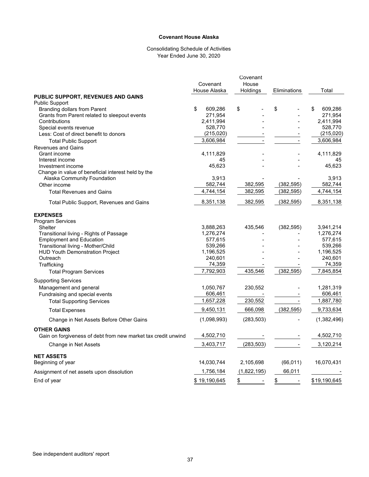#### Consolidating Schedule of Activities Year Ended June 30, 2020

|                                                               |               | Covenant    |              |               |
|---------------------------------------------------------------|---------------|-------------|--------------|---------------|
|                                                               | Covenant      | House       |              |               |
|                                                               | House Alaska  | Holdings    | Eliminations | Total         |
| <b>PUBLIC SUPPORT, REVENUES AND GAINS</b>                     |               |             |              |               |
| <b>Public Support</b>                                         |               |             |              |               |
| <b>Branding dollars from Parent</b>                           | \$<br>609,286 | \$          | \$           | \$<br>609,286 |
| Grants from Parent related to sleepout events                 | 271,954       |             |              | 271,954       |
| Contributions                                                 | 2,411,994     |             |              | 2,411,994     |
| Special events revenue                                        | 528,770       |             |              | 528,770       |
| Less: Cost of direct benefit to donors                        | (215, 020)    |             |              | (215, 020)    |
| <b>Total Public Support</b>                                   | 3,606,984     |             |              | 3,606,984     |
| <b>Revenues and Gains</b>                                     |               |             |              |               |
| Grant income                                                  | 4,111,829     |             |              | 4,111,829     |
| Interest income                                               | 45            |             |              | 45            |
| Investment income                                             | 45,623        |             |              | 45,623        |
| Change in value of beneficial interest held by the            |               |             |              |               |
| Alaska Community Foundation                                   | 3,913         |             |              | 3,913         |
| Other income                                                  | 582,744       | 382,595     | (382, 595)   | 582,744       |
| <b>Total Revenues and Gains</b>                               | 4,744,154     | 382,595     | (382, 595)   | 4,744,154     |
| Total Public Support, Revenues and Gains                      | 8,351,138     | 382,595     | (382, 595)   | 8,351,138     |
| <b>EXPENSES</b>                                               |               |             |              |               |
| <b>Program Services</b>                                       |               |             |              |               |
| Shelter                                                       | 3,888,263     | 435,546     | (382, 595)   | 3,941,214     |
| Transitional living - Rights of Passage                       | 1,276,274     |             |              | 1,276,274     |
| <b>Employment and Education</b>                               | 577,615       |             |              | 577,615       |
| Transitional living - Mother/Child                            | 539,266       |             |              | 539,266       |
| <b>HUD Youth Demonstration Project</b>                        | 1,196,525     |             |              | 1,196,525     |
| Outreach                                                      | 240,601       |             |              | 240,601       |
| Trafficking                                                   | 74,359        |             |              | 74,359        |
| <b>Total Program Services</b>                                 | 7,792,903     | 435,546     | (382, 595)   | 7,845,854     |
| <b>Supporting Services</b>                                    |               |             |              |               |
| Management and general                                        | 1,050,767     | 230,552     |              | 1,281,319     |
| Fundraising and special events                                | 606,461       |             |              | 606,461       |
| <b>Total Supporting Services</b>                              | 1,657,228     | 230,552     |              | 1,887,780     |
| <b>Total Expenses</b>                                         | 9,450,131     | 666,098     | (382, 595)   | 9,733,634     |
| Change in Net Assets Before Other Gains                       | (1,098,993)   | (283, 503)  |              | (1,382,496)   |
| <b>OTHER GAINS</b>                                            |               |             |              |               |
| Gain on forgiveness of debt from new market tax credit unwind | 4,502,710     |             |              | 4,502,710     |
| Change in Net Assets                                          | 3,403,717     | (283, 503)  |              | 3,120,214     |
| <b>NET ASSETS</b>                                             |               |             |              |               |
| Beginning of year                                             | 14,030,744    | 2,105,698   | (66, 011)    | 16,070,431    |
| Assignment of net assets upon dissolution                     | 1,756,184     | (1,822,195) | 66,011       |               |
| End of year                                                   | \$19,190,645  | \$          | \$           | \$19,190,645  |